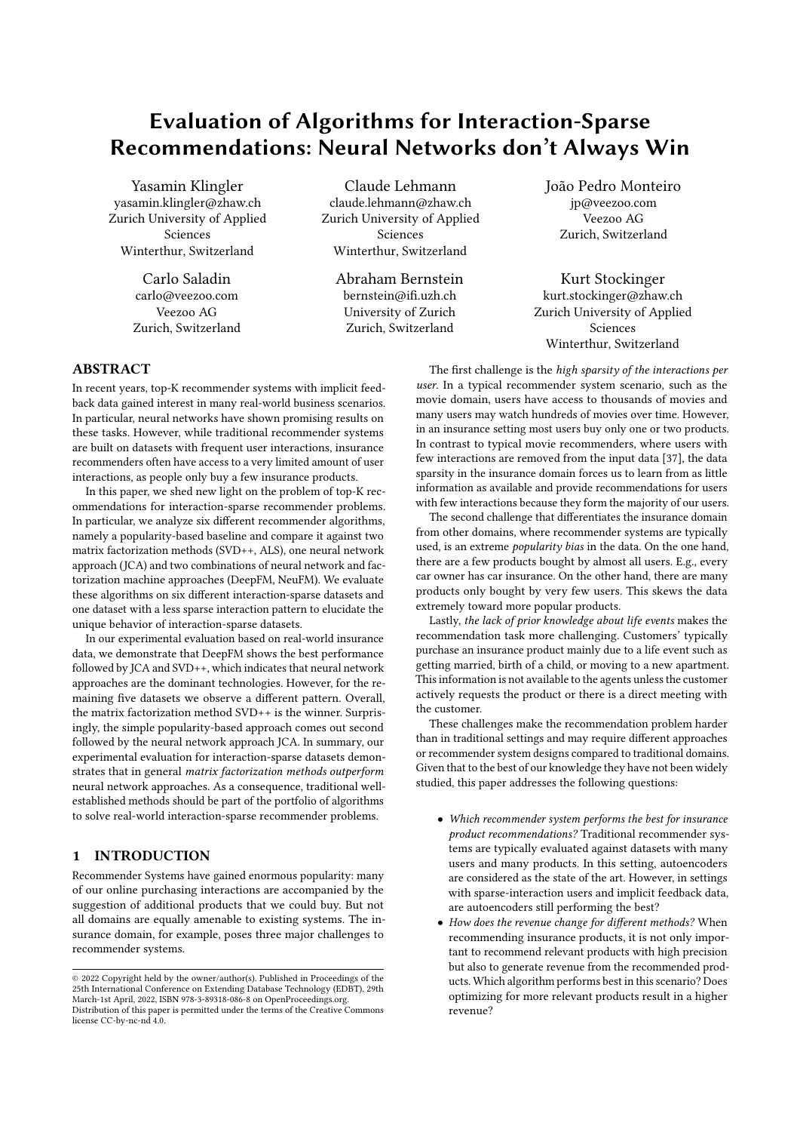# Evaluation of Algorithms for Interaction-Sparse Recommendations: Neural Networks don't Always Win

Yasamin Klingler yasamin.klingler@zhaw.ch Zurich University of Applied Sciences Winterthur, Switzerland

> Carlo Saladin carlo@veezoo.com Veezoo AG Zurich, Switzerland

Claude Lehmann claude.lehmann@zhaw.ch Zurich University of Applied Sciences Winterthur, Switzerland

Abraham Bernstein bernstein@if.uzh.ch University of Zurich Zurich, Switzerland

João Pedro Monteiro jp@veezoo.com Veezoo AG Zurich, Switzerland

Kurt Stockinger kurt.stockinger@zhaw.ch Zurich University of Applied Sciences Winterthur, Switzerland

## ABSTRACT

In recent years, top-K recommender systems with implicit feedback data gained interest in many real-world business scenarios. In particular, neural networks have shown promising results on these tasks. However, while traditional recommender systems are built on datasets with frequent user interactions, insurance recommenders often have access to a very limited amount of user interactions, as people only buy a few insurance products.

In this paper, we shed new light on the problem of top-K recommendations for interaction-sparse recommender problems. In particular, we analyze six diferent recommender algorithms, namely a popularity-based baseline and compare it against two matrix factorization methods (SVD++, ALS), one neural network approach (JCA) and two combinations of neural network and factorization machine approaches (DeepFM, NeuFM). We evaluate these algorithms on six diferent interaction-sparse datasets and one dataset with a less sparse interaction pattern to elucidate the unique behavior of interaction-sparse datasets.

In our experimental evaluation based on real-world insurance data, we demonstrate that DeepFM shows the best performance followed by JCA and SVD++, which indicates that neural network approaches are the dominant technologies. However, for the remaining fve datasets we observe a diferent pattern. Overall, the matrix factorization method SVD++ is the winner. Surprisingly, the simple popularity-based approach comes out second followed by the neural network approach JCA. In summary, our experimental evaluation for interaction-sparse datasets demonstrates that in general matrix factorization methods outperform neural network approaches. As a consequence, traditional wellestablished methods should be part of the portfolio of algorithms to solve real-world interaction-sparse recommender problems.

#### 1 INTRODUCTION

Recommender Systems have gained enormous popularity: many of our online purchasing interactions are accompanied by the suggestion of additional products that we could buy. But not all domains are equally amenable to existing systems. The insurance domain, for example, poses three major challenges to recommender systems.

The first challenge is the high sparsity of the interactions per user. In a typical recommender system scenario, such as the movie domain, users have access to thousands of movies and many users may watch hundreds of movies over time. However, in an insurance setting most users buy only one or two products. In contrast to typical movie recommenders, where users with few interactions are removed from the input data [\[37\]](#page-11-0), the data sparsity in the insurance domain forces us to learn from as little information as available and provide recommendations for users with few interactions because they form the majority of our users.

The second challenge that diferentiates the insurance domain from other domains, where recommender systems are typically used, is an extreme popularity bias in the data. On the one hand, there are a few products bought by almost all users. E.g., every car owner has car insurance. On the other hand, there are many products only bought by very few users. This skews the data extremely toward more popular products.

Lastly, the lack of prior knowledge about life events makes the recommendation task more challenging. Customers' typically purchase an insurance product mainly due to a life event such as getting married, birth of a child, or moving to a new apartment. This information is not available to the agents unless the customer actively requests the product or there is a direct meeting with the customer.

These challenges make the recommendation problem harder than in traditional settings and may require diferent approaches or recommender system designs compared to traditional domains. Given that to the best of our knowledge they have not been widely studied, this paper addresses the following questions:

- Which recommender system performs the best for insurance product recommendations? Traditional recommender systems are typically evaluated against datasets with many users and many products. In this setting, autoencoders are considered as the state of the art. However, in settings with sparse-interaction users and implicit feedback data, are autoencoders still performing the best?
- How does the revenue change for diferent methods? When recommending insurance products, it is not only important to recommend relevant products with high precision but also to generate revenue from the recommended products. Which algorithm performs best in this scenario? Does optimizing for more relevant products result in a higher revenue?

<sup>©</sup> 2022 Copyright held by the owner/author(s). Published in Proceedings of the 25th International Conference on Extending Database Technology (EDBT), 29th March-1st April, 2022, ISBN 978-3-89318-086-8 on OpenProceedings.org. Distribution of this paper is permitted under the terms of the Creative Commons license CC-by-nc-nd 4.0.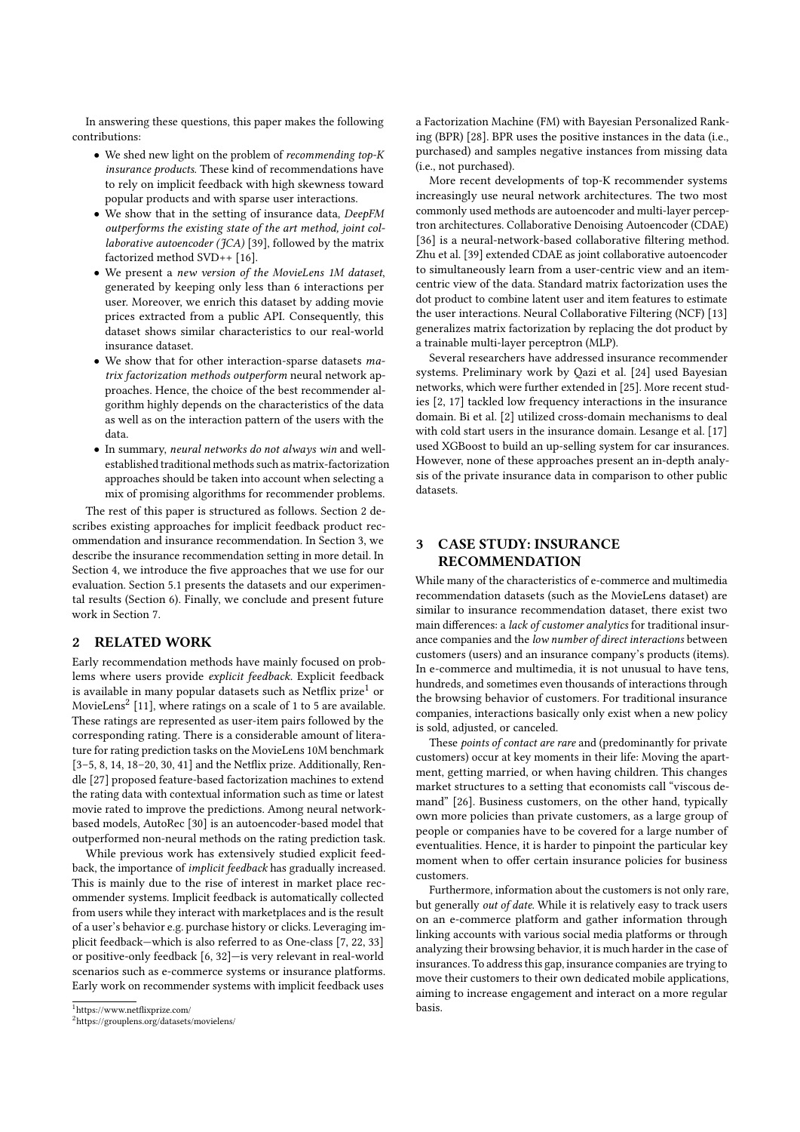In answering these questions, this paper makes the following contributions:

- We shed new light on the problem of recommending top-K insurance products. These kind of recommendations have to rely on implicit feedback with high skewness toward popular products and with sparse user interactions.
- We show that in the setting of insurance data, DeepFM outperforms the existing state of the art method, joint collaborative autoencoder ( $fCA$ ) [\[39\]](#page-11-1), followed by the matrix factorized method SVD++ [\[16\]](#page-11-2).
- We present a new version of the MovieLens 1M dataset, generated by keeping only less than 6 interactions per user. Moreover, we enrich this dataset by adding movie prices extracted from a public API. Consequently, this dataset shows similar characteristics to our real-world insurance dataset.
- We show that for other interaction-sparse datasets matrix factorization methods outperform neural network approaches. Hence, the choice of the best recommender algorithm highly depends on the characteristics of the data as well as on the interaction pattern of the users with the data.
- In summary, neural networks do not always win and wellestablished traditional methods such as matrix-factorization approaches should be taken into account when selecting a mix of promising algorithms for recommender problems.

The rest of this paper is structured as follows. Section [2](#page-1-0) describes existing approaches for implicit feedback product recommendation and insurance recommendation. In Section [3,](#page-1-1) we describe the insurance recommendation setting in more detail. In Section [4,](#page-2-0) we introduce the fve approaches that we use for our evaluation. Section [5.1](#page-4-0) presents the datasets and our experimental results (Section [6\)](#page-6-0). Finally, we conclude and present future work in Section [7.](#page-10-0)

## <span id="page-1-0"></span>2 RELATED WORK

Early recommendation methods have mainly focused on problems where users provide explicit feedback. Explicit feedback is available in many popular datasets such as Netflix prize<sup>[1](#page-1-2)</sup> or MovieLens $^2$  $^2$  [\[11\]](#page-11-3), where ratings on a scale of 1 to 5 are available. These ratings are represented as user-item pairs followed by the corresponding rating. There is a considerable amount of literature for rating prediction tasks on the MovieLens 10M benchmark [\[3](#page-11-4)[–5,](#page-11-5) [8,](#page-11-6) [14,](#page-11-7) [18–](#page-11-8)[20,](#page-11-9) [30,](#page-11-10) [41\]](#page-11-11) and the Netfix prize. Additionally, Rendle [\[27\]](#page-11-12) proposed feature-based factorization machines to extend the rating data with contextual information such as time or latest movie rated to improve the predictions. Among neural networkbased models, AutoRec [\[30\]](#page-11-10) is an autoencoder-based model that outperformed non-neural methods on the rating prediction task.

While previous work has extensively studied explicit feedback, the importance of implicit feedback has gradually increased. This is mainly due to the rise of interest in market place recommender systems. Implicit feedback is automatically collected from users while they interact with marketplaces and is the result of a user's behavior e.g. purchase history or clicks. Leveraging implicit feedback—which is also referred to as One-class [\[7,](#page-11-13) [22,](#page-11-14) [33\]](#page-11-15) or positive-only feedback [\[6,](#page-11-16) [32\]](#page-11-17)—is very relevant in real-world scenarios such as e-commerce systems or insurance platforms. Early work on recommender systems with implicit feedback uses

<span id="page-1-2"></span><sup>1</sup>[https://www.netfixprize.com/](https://www.netflixprize.com/)

a Factorization Machine (FM) with Bayesian Personalized Ranking (BPR) [\[28\]](#page-11-18). BPR uses the positive instances in the data (i.e., purchased) and samples negative instances from missing data (i.e., not purchased).

More recent developments of top-K recommender systems increasingly use neural network architectures. The two most commonly used methods are autoencoder and multi-layer perceptron architectures. Collaborative Denoising Autoencoder (CDAE) [\[36\]](#page-11-19) is a neural-network-based collaborative filtering method. Zhu et al. [\[39\]](#page-11-1) extended CDAE as joint collaborative autoencoder to simultaneously learn from a user-centric view and an itemcentric view of the data. Standard matrix factorization uses the dot product to combine latent user and item features to estimate the user interactions. Neural Collaborative Filtering (NCF) [\[13\]](#page-11-20) generalizes matrix factorization by replacing the dot product by a trainable multi-layer perceptron (MLP).

Several researchers have addressed insurance recommender systems. Preliminary work by Qazi et al. [\[24\]](#page-11-21) used Bayesian networks, which were further extended in [\[25\]](#page-11-22). More recent studies [\[2,](#page-11-23) [17\]](#page-11-24) tackled low frequency interactions in the insurance domain. Bi et al. [\[2\]](#page-11-23) utilized cross-domain mechanisms to deal with cold start users in the insurance domain. Lesange et al. [\[17\]](#page-11-24) used XGBoost to build an up-selling system for car insurances. However, none of these approaches present an in-depth analysis of the private insurance data in comparison to other public datasets.

# <span id="page-1-1"></span>3 CASE STUDY: INSURANCE RECOMMENDATION

While many of the characteristics of e-commerce and multimedia recommendation datasets (such as the MovieLens dataset) are similar to insurance recommendation dataset, there exist two main differences: a lack of customer analytics for traditional insurance companies and the low number of direct interactions between customers (users) and an insurance company's products (items). In e-commerce and multimedia, it is not unusual to have tens, hundreds, and sometimes even thousands of interactions through the browsing behavior of customers. For traditional insurance companies, interactions basically only exist when a new policy is sold, adjusted, or canceled.

These points of contact are rare and (predominantly for private customers) occur at key moments in their life: Moving the apartment, getting married, or when having children. This changes market structures to a setting that economists call "viscous demand" [\[26\]](#page-11-25). Business customers, on the other hand, typically own more policies than private customers, as a large group of people or companies have to be covered for a large number of eventualities. Hence, it is harder to pinpoint the particular key moment when to offer certain insurance policies for business customers.

Furthermore, information about the customers is not only rare, but generally out of date. While it is relatively easy to track users on an e-commerce platform and gather information through linking accounts with various social media platforms or through analyzing their browsing behavior, it is much harder in the case of insurances. To address this gap, insurance companies are trying to move their customers to their own dedicated mobile applications, aiming to increase engagement and interact on a more regular basis.

<span id="page-1-3"></span><sup>2</sup><https://grouplens.org/datasets/movielens/>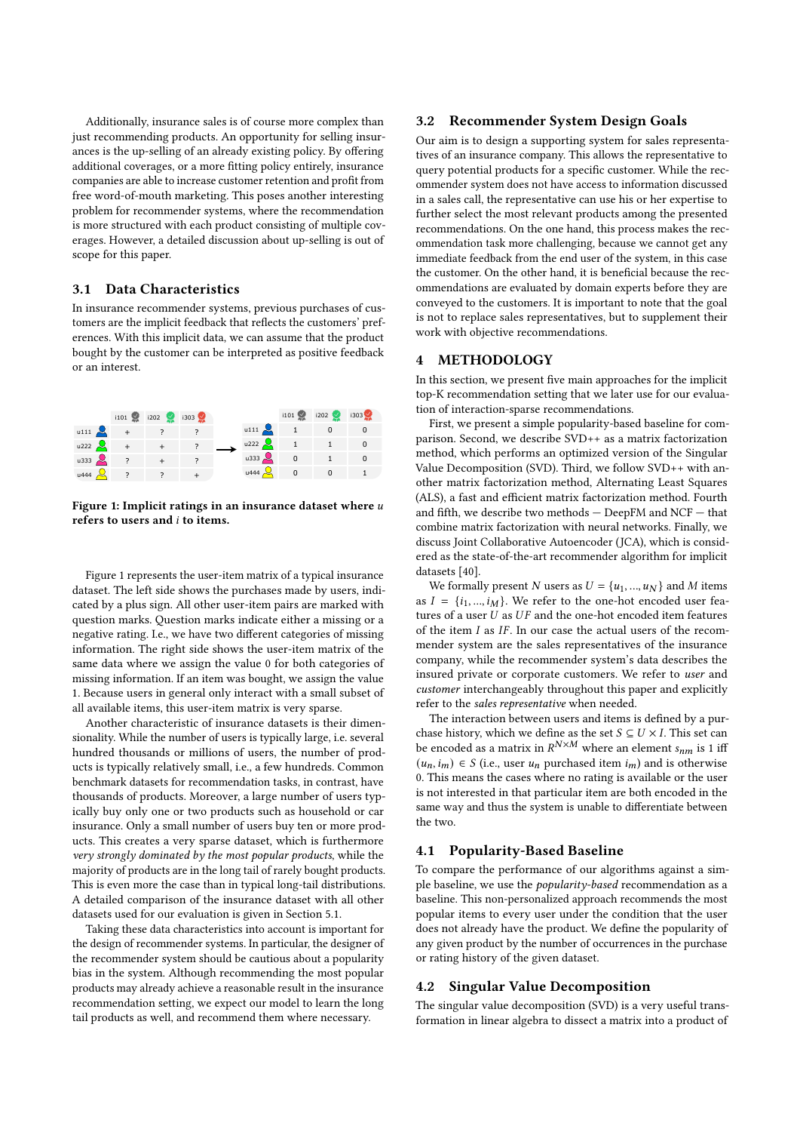Additionally, insurance sales is of course more complex than just recommending products. An opportunity for selling insurances is the up-selling of an already existing policy. By ofering additional coverages, or a more ftting policy entirely, insurance companies are able to increase customer retention and proft from free word-of-mouth marketing. This poses another interesting problem for recommender systems, where the recommendation is more structured with each product consisting of multiple coverages. However, a detailed discussion about up-selling is out of scope for this paper.

# 3.1 Data Characteristics

In insurance recommender systems, previous purchases of customers are the implicit feedback that refects the customers' preferences. With this implicit data, we can assume that the product bought by the customer can be interpreted as positive feedback or an interest.

<span id="page-2-1"></span>

Figure 1: Implicit ratings in an insurance dataset where  $u$ refers to users and  $i$  to items.

Figure [1](#page-2-1) represents the user-item matrix of a typical insurance dataset. The left side shows the purchases made by users, indicated by a plus sign. All other user-item pairs are marked with question marks. Question marks indicate either a missing or a negative rating. I.e., we have two diferent categories of missing information. The right side shows the user-item matrix of the same data where we assign the value 0 for both categories of missing information. If an item was bought, we assign the value 1. Because users in general only interact with a small subset of all available items, this user-item matrix is very sparse.

Another characteristic of insurance datasets is their dimensionality. While the number of users is typically large, i.e. several hundred thousands or millions of users, the number of products is typically relatively small, i.e., a few hundreds. Common benchmark datasets for recommendation tasks, in contrast, have thousands of products. Moreover, a large number of users typically buy only one or two products such as household or car insurance. Only a small number of users buy ten or more products. This creates a very sparse dataset, which is furthermore very strongly dominated by the most popular products, while the majority of products are in the long tail of rarely bought products. This is even more the case than in typical long-tail distributions. A detailed comparison of the insurance dataset with all other datasets used for our evaluation is given in Section [5.1.](#page-4-0)

Taking these data characteristics into account is important for the design of recommender systems. In particular, the designer of the recommender system should be cautious about a popularity bias in the system. Although recommending the most popular products may already achieve a reasonable result in the insurance recommendation setting, we expect our model to learn the long tail products as well, and recommend them where necessary.

## 3.2 Recommender System Design Goals

Our aim is to design a supporting system for sales representatives of an insurance company. This allows the representative to query potential products for a specifc customer. While the recommender system does not have access to information discussed in a sales call, the representative can use his or her expertise to further select the most relevant products among the presented recommendations. On the one hand, this process makes the recommendation task more challenging, because we cannot get any immediate feedback from the end user of the system, in this case the customer. On the other hand, it is beneficial because the recommendations are evaluated by domain experts before they are conveyed to the customers. It is important to note that the goal is not to replace sales representatives, but to supplement their work with objective recommendations.

# <span id="page-2-0"></span>4 METHODOLOGY

In this section, we present fve main approaches for the implicit top-K recommendation setting that we later use for our evaluation of interaction-sparse recommendations.

First, we present a simple popularity-based baseline for comparison. Second, we describe SVD++ as a matrix factorization method, which performs an optimized version of the Singular Value Decomposition (SVD). Third, we follow SVD++ with another matrix factorization method, Alternating Least Squares (ALS), a fast and efficient matrix factorization method. Fourth and ffth, we describe two methods — DeepFM and NCF — that combine matrix factorization with neural networks. Finally, we discuss Joint Collaborative Autoencoder (JCA), which is considered as the state-of-the-art recommender algorithm for implicit datasets [\[40\]](#page-11-26).

We formally present N users as  $U = \{u_1, ..., u_N\}$  and M items as  $I = \{i_1, ..., i_M\}$ . We refer to the one-hot encoded user features of a user  $U$  as  $UF$  and the one-hot encoded item features of the item  $I$  as  $IF$ . In our case the actual users of the recommender system are the sales representatives of the insurance company, while the recommender system's data describes the insured private or corporate customers. We refer to user and customer interchangeably throughout this paper and explicitly refer to the sales representative when needed.

The interaction between users and items is defned by a purchase history, which we define as the set  $S \subseteq U \times I$ . This set can be encoded as a matrix in  $R^{N \times M}$  where an element  $s_{nm}$  is 1 iff  $(u_n, i_m) \in S$  (i.e., user  $u_n$  purchased item  $i_m$ ) and is otherwise 0. This means the cases where no rating is available or the user is not interested in that particular item are both encoded in the same way and thus the system is unable to diferentiate between the two.

## 4.1 Popularity-Based Baseline

To compare the performance of our algorithms against a simple baseline, we use the *popularity-based* recommendation as a baseline. This non-personalized approach recommends the most popular items to every user under the condition that the user does not already have the product. We defne the popularity of any given product by the number of occurrences in the purchase or rating history of the given dataset.

#### 4.2 Singular Value Decomposition

The singular value decomposition (SVD) is a very useful transformation in linear algebra to dissect a matrix into a product of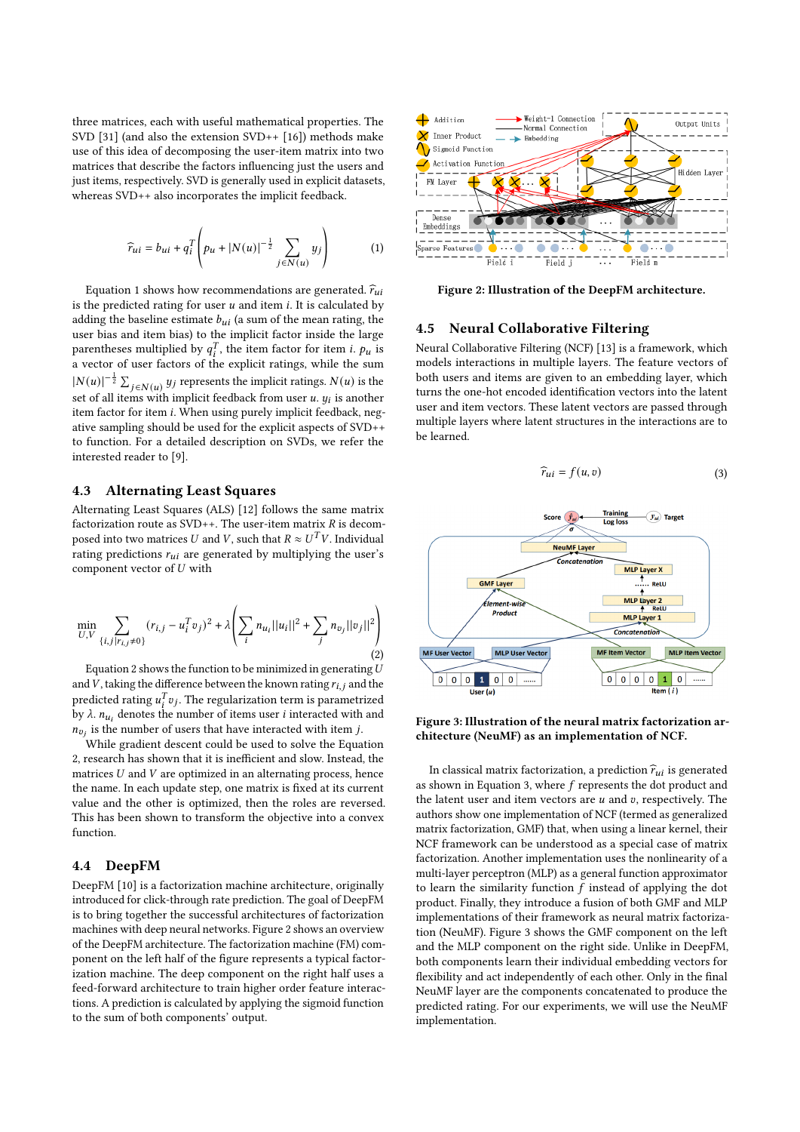three matrices, each with useful mathematical properties. The SVD [\[31\]](#page-11-27) (and also the extension SVD++ [\[16\]](#page-11-2)) methods make use of this idea of decomposing the user-item matrix into two matrices that describe the factors infuencing just the users and just items, respectively. SVD is generally used in explicit datasets, whereas SVD++ also incorporates the implicit feedback.

<span id="page-3-0"></span>
$$
\widehat{r}_{ui} = b_{ui} + q_i^T \left( p_u + |N(u)|^{-\frac{1}{2}} \sum_{j \in N(u)} y_j \right) \tag{1}
$$

Equation [1](#page-3-0) shows how recommendations are generated.  $\hat{r}_{ui}$ is the predicted rating for user  $u$  and item  $i$ . It is calculated by adding the baseline estimate  $b_{ui}$  (a sum of the mean rating, the user bias and item bias) to the implicit factor inside the large parentheses multiplied by  $q_i^T$ , the item factor for item *i*.  $p_u$  is a vector of user factors of the explicit ratings, while the sum  $|N(u)|^{-\frac{1}{2}}\sum_{j\in N(u)}y_j$  represents the implicit ratings.  $N(u)$  is the set of all items with implicit feedback from user u.  $y_i$  is another item factor for item i. When using purely implicit feedback, negative sampling should be used for the explicit aspects of SVD++ to function. For a detailed description on SVDs, we refer the interested reader to [\[9\]](#page-11-28).

## 4.3 Alternating Least Squares

Alternating Least Squares (ALS) [\[12\]](#page-11-29) follows the same matrix factorization route as  $SVD++$ . The user-item matrix  $R$  is decomposed into two matrices  $U$  and  $V$ , such that  $R \approx U^{\bar T} V$ . Individual rating predictions  $r_{ui}$  are generated by multiplying the user's component vector of  $U$  with

<span id="page-3-1"></span>
$$
\min_{U,V} \sum_{\{i,j \mid r_{i,j} \neq 0\}} (r_{i,j} - u_i^T v_j)^2 + \lambda \left( \sum_i n_{u_i} ||u_i||^2 + \sum_j n_{v_j} ||v_j||^2 \right)
$$
\n(2)

Equation [2](#page-3-1) shows the function to be minimized in generating  $U$ and  $\bar{V}$ , taking the difference between the known rating  $r_{i,j}$  and the predicted rating  $u_i^T v_j$ . The regularization term is parametrized by  $\lambda$ .  $n_{u_i}$  denotes the number of items user *i* interacted with and  $n_{v_i}$  is the number of users that have interacted with item j.

While gradient descent could be used to solve the Equation [2,](#page-3-1) research has shown that it is inefficient and slow. Instead, the matrices  $U$  and  $V$  are optimized in an alternating process, hence the name. In each update step, one matrix is fxed at its current value and the other is optimized, then the roles are reversed. This has been shown to transform the objective into a convex function.

## 4.4 DeepFM

DeepFM [\[10\]](#page-11-30) is a factorization machine architecture, originally introduced for click-through rate prediction. The goal of DeepFM is to bring together the successful architectures of factorization machines with deep neural networks. Figure [2](#page-3-2) shows an overview of the DeepFM architecture. The factorization machine (FM) component on the left half of the fgure represents a typical factorization machine. The deep component on the right half uses a feed-forward architecture to train higher order feature interactions. A prediction is calculated by applying the sigmoid function to the sum of both components' output.

<span id="page-3-2"></span>

Figure 2: Illustration of the DeepFM architecture.

## 4.5 Neural Collaborative Filtering

Neural Collaborative Filtering (NCF) [\[13\]](#page-11-20) is a framework, which models interactions in multiple layers. The feature vectors of both users and items are given to an embedding layer, which turns the one-hot encoded identifcation vectors into the latent user and item vectors. These latent vectors are passed through multiple layers where latent structures in the interactions are to be learned.

$$
\widehat{r}_{ui} = f(u, v) \tag{3}
$$

<span id="page-3-4"></span><span id="page-3-3"></span>

Figure 3: Illustration of the neural matrix factorization architecture (NeuMF) as an implementation of NCF.

In classical matrix factorization, a prediction  $\hat{r}_{ui}$  is generated as shown in Equation [3,](#page-3-3) where  $f$  represents the dot product and the latent user and item vectors are  $u$  and  $v$ , respectively. The authors show one implementation of NCF (termed as generalized matrix factorization, GMF) that, when using a linear kernel, their NCF framework can be understood as a special case of matrix factorization. Another implementation uses the nonlinearity of a multi-layer perceptron (MLP) as a general function approximator to learn the similarity function  $f$  instead of applying the dot product. Finally, they introduce a fusion of both GMF and MLP implementations of their framework as neural matrix factorization (NeuMF). Figure [3](#page-3-4) shows the GMF component on the left and the MLP component on the right side. Unlike in DeepFM, both components learn their individual embedding vectors for fexibility and act independently of each other. Only in the fnal NeuMF layer are the components concatenated to produce the predicted rating. For our experiments, we will use the NeuMF implementation.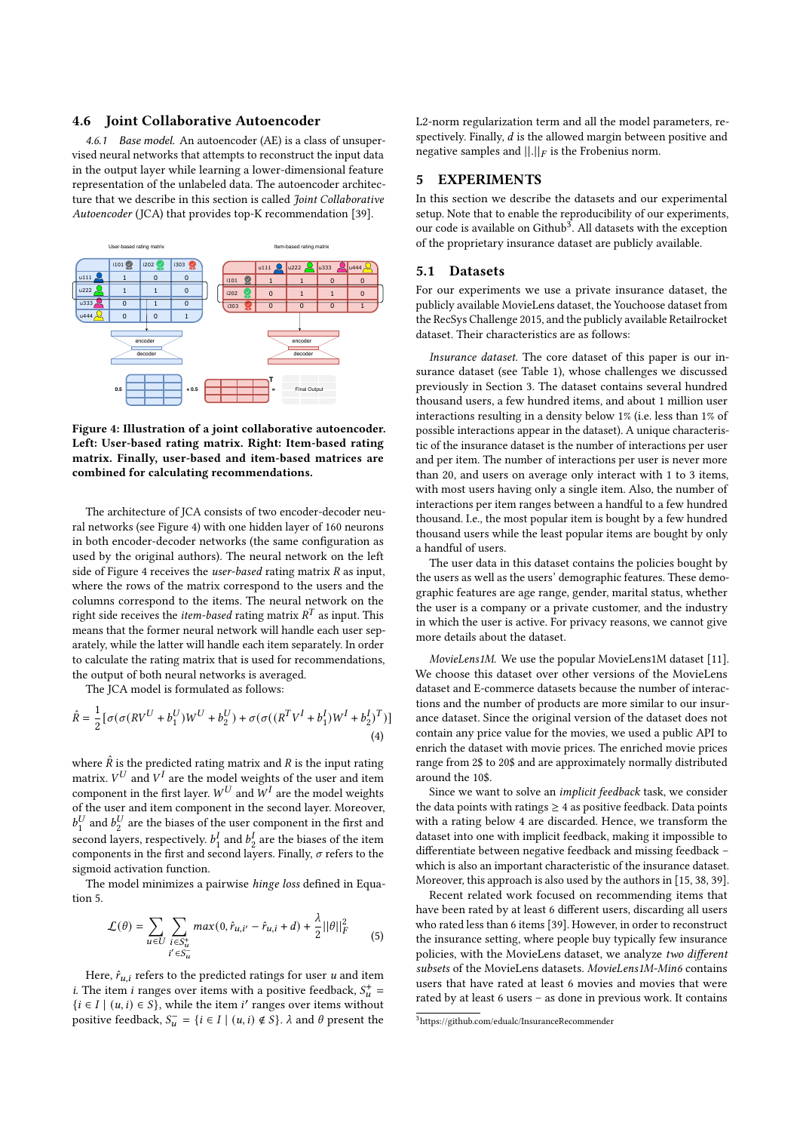#### 4.6 Joint Collaborative Autoencoder

4.6.1 Base model. An autoencoder (AE) is a class of unsupervised neural networks that attempts to reconstruct the input data in the output layer while learning a lower-dimensional feature representation of the unlabeled data. The autoencoder architecture that we describe in this section is called Joint Collaborative Autoencoder (JCA) that provides top-K recommendation [\[39\]](#page-11-1).

<span id="page-4-1"></span>

Figure 4: Illustration of a joint collaborative autoencoder. Left: User-based rating matrix. Right: Item-based rating matrix. Finally, user-based and item-based matrices are combined for calculating recommendations.

The architecture of JCA consists of two encoder-decoder neural networks (see Figure [4\)](#page-4-1) with one hidden layer of 160 neurons in both encoder-decoder networks (the same confguration as used by the original authors). The neural network on the left side of Figure [4](#page-4-1) receives the *user-based* rating matrix  $R$  as input, where the rows of the matrix correspond to the users and the columns correspond to the items. The neural network on the right side receives the *item-based* rating matrix  $R^T$  as input. This means that the former neural network will handle each user separately, while the latter will handle each item separately. In order to calculate the rating matrix that is used for recommendations, the output of both neural networks is averaged.

The JCA model is formulated as follows:

$$
\hat{R} = \frac{1}{2} [\sigma(\sigma(RV^{U} + b_1^{U})W^{U} + b_2^{U}) + \sigma(\sigma((R^{T}V^{I} + b_1^{I})W^{I} + b_2^{I})^{T})]
$$
\n(4)

where  $\hat{R}$  is the predicted rating matrix and  $R$  is the input rating matrix.  $V^U$  and  $V^I$  are the model weights of the user and item component in the first layer.  $W^U$  and  $\overset{\circ}{W^I}$  are the model weights of the user and item component in the second layer. Moreover,  $b_1^U$  $_1^U$  and  $b_2^U$  $\frac{U}{2}$  are the biases of the user component in the first and second layers, respectively.  $b_1^l$  $\frac{I}{1}$  and  $b^1$  $\frac{1}{2}$  are the biases of the item components in the first and second layers. Finally,  $\sigma$  refers to the sigmoid activation function.

The model minimizes a pairwise hinge loss defned in Equation [5.](#page-4-2)

<span id="page-4-2"></span>
$$
\mathcal{L}(\theta) = \sum_{u \in U} \sum_{\substack{i \in S_u^+ \\ i' \in S_u^-}} max(0, \hat{r}_{u,i'} - \hat{r}_{u,i} + d) + \frac{\lambda}{2} ||\theta||_F^2
$$
 (5)

Here,  $\hat{r}_{u,i}$  refers to the predicted ratings for user u and item *i*. The item *i* ranges over items with a positive feedback,  $S_u^+$  = { $i \in I$  | ( $u, i$ ) ∈  $S$ }, while the item  $i'$  ranges over items without positive feedback,  $S_{\mathbf{u}}^- = \{i \in I \mid (u,i) \notin S\}$ .  $\lambda$  and  $\theta$  present the

L2-norm regularization term and all the model parameters, respectively. Finally,  $d$  is the allowed margin between positive and negative samples and  $\left\| . \right\|_F$  is the Frobenius norm.

## 5 EXPERIMENTS

In this section we describe the datasets and our experimental setup. Note that to enable the reproducibility of our experiments, our code is available on Github<sup>[3](#page-4-3)</sup>. All datasets with the exception of the proprietary insurance dataset are publicly available.

#### <span id="page-4-0"></span>5.1 Datasets

For our experiments we use a private insurance dataset, the publicly available MovieLens dataset, the Youchoose dataset from the RecSys Challenge 2015, and the publicly available Retailrocket dataset. Their characteristics are as follows:

Insurance dataset. The core dataset of this paper is our insurance dataset (see Table [1\)](#page-5-0), whose challenges we discussed previously in Section [3.](#page-1-1) The dataset contains several hundred thousand users, a few hundred items, and about 1 million user interactions resulting in a density below 1% (i.e. less than 1% of possible interactions appear in the dataset). A unique characteristic of the insurance dataset is the number of interactions per user and per item. The number of interactions per user is never more than 20, and users on average only interact with 1 to 3 items, with most users having only a single item. Also, the number of interactions per item ranges between a handful to a few hundred thousand. I.e., the most popular item is bought by a few hundred thousand users while the least popular items are bought by only a handful of users.

The user data in this dataset contains the policies bought by the users as well as the users' demographic features. These demographic features are age range, gender, marital status, whether the user is a company or a private customer, and the industry in which the user is active. For privacy reasons, we cannot give more details about the dataset.

MovieLens1M. We use the popular MovieLens1M dataset [\[11\]](#page-11-3). We choose this dataset over other versions of the MovieLens dataset and E-commerce datasets because the number of interactions and the number of products are more similar to our insurance dataset. Since the original version of the dataset does not contain any price value for the movies, we used a public API to enrich the dataset with movie prices. The enriched movie prices range from 2\$ to 20\$ and are approximately normally distributed around the 10\$.

Since we want to solve an implicit feedback task, we consider the data points with ratings  $\geq 4$  as positive feedback. Data points with a rating below 4 are discarded. Hence, we transform the dataset into one with implicit feedback, making it impossible to diferentiate between negative feedback and missing feedback – which is also an important characteristic of the insurance dataset. Moreover, this approach is also used by the authors in [\[15,](#page-11-31) [38,](#page-11-32) [39\]](#page-11-1).

Recent related work focused on recommending items that have been rated by at least 6 diferent users, discarding all users who rated less than 6 items [\[39\]](#page-11-1). However, in order to reconstruct the insurance setting, where people buy typically few insurance policies, with the MovieLens dataset, we analyze two diferent subsets of the MovieLens datasets. MovieLens1M-Min6 contains users that have rated at least 6 movies and movies that were rated by at least 6 users – as done in previous work. It contains

<span id="page-4-3"></span><sup>3</sup><https://github.com/edualc/InsuranceRecommender>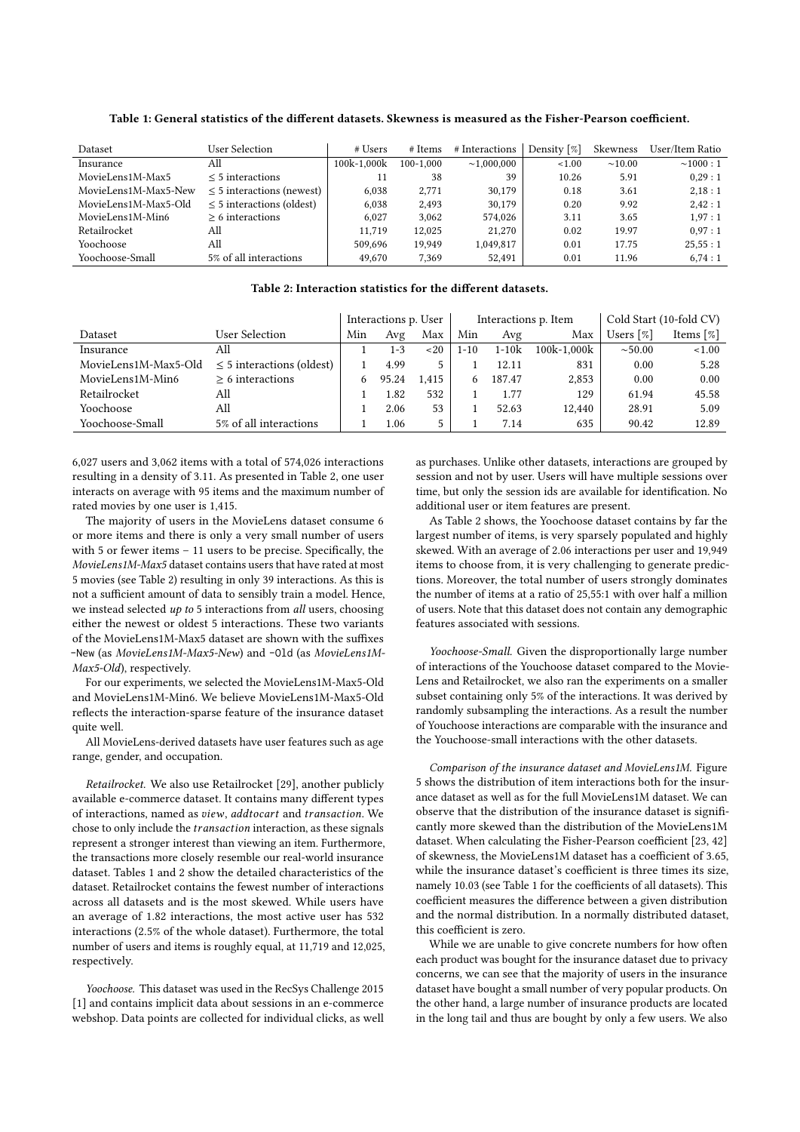Dataset User Selection # Users # Items # Interactions Density [%] Skewness User/Item Ratio Insurance All 100k-1,000k 100-1,000 ∼1,000,000 <1.00 ∼10.00 ∼1000 : 1  $\text{MovieLensI} \text{M-Max5}$   $\leq 5 \text{ interactions}$   $\leq 5 \text{ interactions}$   $\leq 6.038$   $\leq 2.771$   $\leq 30.179$   $\leq 18.361$   $\leq 3.61$   $\leq 2.18:1$ MovieLens1M-Max5-New ≤ 5 interactions (newest)  $\begin{array}{cccc} 6,038 & 2,771 & 30,179 & 0.18 & 3.61 & 2,18:1 \\ 6,038 & 2.493 & 30.179 & 0.20 & 9.92 & 2.42:1 \end{array}$  $\leq$  5 interactions (oldest) 6,038 2,493 30,179 0.20 9.92  $Movielens1M-Min6 \geq 6$  interactions  $\geq 6$  interactions  $6,027$   $3,062$   $574,026$   $3.11$   $3.65$   $1,97:1$ Retailrocket All 11,719 12,025 21,270 0.02 19.97 0,97 : 1 Yoochoose All 509,696 19,949 1,049,817 0.01 17.75 25,55 : 1 Yoochoose-Small 5% of all interactions  $\begin{array}{|l} 49,670 & 7,369 \end{array}$  52,491 0.01 11.96 6,74 : 1

<span id="page-5-0"></span>Table 1: General statistics of the different datasets. Skewness is measured as the Fisher-Pearson coefficient.

## Table 2: Interaction statistics for the diferent datasets.

<span id="page-5-1"></span>

|                      |                                | Interactions p. User |         |       |      |           | Interactions p. Item | Cold Start (10-fold CV) |                          |  |
|----------------------|--------------------------------|----------------------|---------|-------|------|-----------|----------------------|-------------------------|--------------------------|--|
| Dataset              | User Selection                 | Min                  | Avg     | Max   | Min  | Avg       | Max                  | Users [%]               | Items $\lceil \% \rceil$ |  |
| Insurance            | All                            |                      | $1 - 3$ | ~120  | 1-10 | $1 - 10k$ | 100k-1.000k          | ${\sim}50.00$           | < 1.00                   |  |
| MovieLens1M-Max5-Old | $\leq$ 5 interactions (oldest) |                      | 4.99    | 5.    |      | 12.11     | 831                  | 0.00                    | 5.28                     |  |
| MovieLens1M-Min6     | $> 6$ interactions             |                      | 95.24   | 1.415 |      | 187.47    | 2,853                | 0.00                    | 0.00                     |  |
| Retailrocket         | All                            |                      | 1.82    | 532   |      | 1.77      | 129                  | 61.94                   | 45.58                    |  |
| Yoochoose            | All                            |                      | 2.06    | 53    |      | 52.63     | 12,440               | 28.91                   | 5.09                     |  |
| Yoochoose-Small      | 5% of all interactions         |                      | 1.06    | 5.    |      | 7.14      | 635                  | 90.42                   | 12.89                    |  |

6,027 users and 3,062 items with a total of 574,026 interactions resulting in a density of 3.11. As presented in Table [2,](#page-5-1) one user interacts on average with 95 items and the maximum number of rated movies by one user is 1,415.

The majority of users in the MovieLens dataset consume 6 or more items and there is only a very small number of users with 5 or fewer items – 11 users to be precise. Specifcally, the MovieLens1M-Max5 dataset contains users that have rated at most 5 movies (see Table [2\)](#page-5-1) resulting in only 39 interactions. As this is not a sufficient amount of data to sensibly train a model. Hence, we instead selected up to 5 interactions from all users, choosing either the newest or oldest 5 interactions. These two variants of the MovieLens1M-Max5 dataset are shown with the suffixes -New (as MovieLens1M-Max5-New) and -Old (as MovieLens1M-Max5-Old), respectively.

For our experiments, we selected the MovieLens1M-Max5-Old and MovieLens1M-Min6. We believe MovieLens1M-Max5-Old refects the interaction-sparse feature of the insurance dataset quite well.

All MovieLens-derived datasets have user features such as age range, gender, and occupation.

Retailrocket. We also use Retailrocket [\[29\]](#page-11-33), another publicly available e-commerce dataset. It contains many diferent types of interactions, named as view, addtocart and transaction. We chose to only include the *transaction* interaction, as these signals represent a stronger interest than viewing an item. Furthermore, the transactions more closely resemble our real-world insurance dataset. Tables [1](#page-5-0) and [2](#page-5-1) show the detailed characteristics of the dataset. Retailrocket contains the fewest number of interactions across all datasets and is the most skewed. While users have an average of 1.82 interactions, the most active user has 532 interactions (2.5% of the whole dataset). Furthermore, the total number of users and items is roughly equal, at 11,719 and 12,025, respectively.

Yoochoose. This dataset was used in the RecSys Challenge 2015 [\[1\]](#page-11-34) and contains implicit data about sessions in an e-commerce webshop. Data points are collected for individual clicks, as well

as purchases. Unlike other datasets, interactions are grouped by session and not by user. Users will have multiple sessions over time, but only the session ids are available for identifcation. No additional user or item features are present.

As Table [2](#page-5-1) shows, the Yoochoose dataset contains by far the largest number of items, is very sparsely populated and highly skewed. With an average of 2.06 interactions per user and 19,949 items to choose from, it is very challenging to generate predictions. Moreover, the total number of users strongly dominates the number of items at a ratio of 25,55:1 with over half a million of users. Note that this dataset does not contain any demographic features associated with sessions.

Yoochoose-Small. Given the disproportionally large number of interactions of the Youchoose dataset compared to the Movie-Lens and Retailrocket, we also ran the experiments on a smaller subset containing only 5% of the interactions. It was derived by randomly subsampling the interactions. As a result the number of Youchoose interactions are comparable with the insurance and the Youchoose-small interactions with the other datasets.

Comparison of the insurance dataset and MovieLens1M. Figure [5](#page-6-1) shows the distribution of item interactions both for the insurance dataset as well as for the full MovieLens1M dataset. We can observe that the distribution of the insurance dataset is signifcantly more skewed than the distribution of the MovieLens1M dataset. When calculating the Fisher-Pearson coefficient [\[23,](#page-11-35) [42\]](#page-11-36) of skewness, the MovieLens1M dataset has a coefficient of 3.65, while the insurance dataset's coefficient is three times its size, namely [1](#page-5-0)0.03 (see Table 1 for the coefficients of all datasets). This coefficient measures the difference between a given distribution and the normal distribution. In a normally distributed dataset, this coefficient is zero.

While we are unable to give concrete numbers for how often each product was bought for the insurance dataset due to privacy concerns, we can see that the majority of users in the insurance dataset have bought a small number of very popular products. On the other hand, a large number of insurance products are located in the long tail and thus are bought by only a few users. We also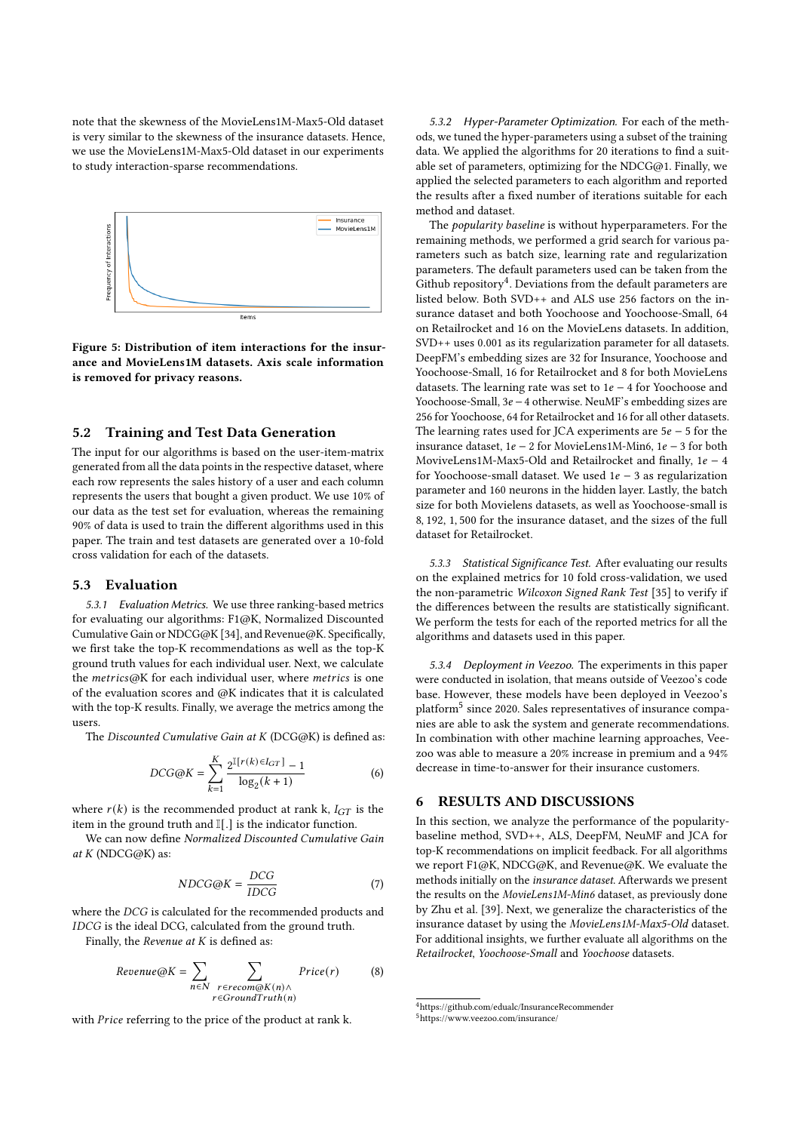note that the skewness of the MovieLens1M-Max5-Old dataset is very similar to the skewness of the insurance datasets. Hence, we use the MovieLens1M-Max5-Old dataset in our experiments to study interaction-sparse recommendations.

<span id="page-6-1"></span>

Figure 5: Distribution of item interactions for the insurance and MovieLens1M datasets. Axis scale information is removed for privacy reasons.

## 5.2 Training and Test Data Generation

The input for our algorithms is based on the user-item-matrix generated from all the data points in the respective dataset, where each row represents the sales history of a user and each column represents the users that bought a given product. We use 10% of our data as the test set for evaluation, whereas the remaining 90% of data is used to train the diferent algorithms used in this paper. The train and test datasets are generated over a 10-fold cross validation for each of the datasets.

## 5.3 Evaluation

5.3.1 Evaluation Metrics. We use three ranking-based metrics for evaluating our algorithms: F1@K, Normalized Discounted Cumulative Gain or NDCG@K [\[34\]](#page-11-37), and Revenue@K. Specifcally, we frst take the top-K recommendations as well as the top-K ground truth values for each individual user. Next, we calculate the  $metrics@K$  for each individual user, where metrics is one of the evaluation scores and @K indicates that it is calculated with the top-K results. Finally, we average the metrics among the users.

The Discounted Cumulative Gain at K (DCG@K) is defined as:

$$
DCG@K = \sum_{k=1}^{K} \frac{2^{\mathbb{I}[r(k)\in I_{GT}]}-1}{\log_2(k+1)}
$$
(6)

where  $r(k)$  is the recommended product at rank k,  $I_{GT}$  is the item in the ground truth and I[.] is the indicator function.

We can now defne Normalized Discounted Cumulative Gain at  $K$  (NDCG@K) as:

$$
NDCG@K = \frac{DCG}{IDCG}
$$
 (7)

where the DCG is calculated for the recommended products and IDCG is the ideal DCG, calculated from the ground truth.

Finally, the Revenue at  $K$  is defined as:

$$
Revenue@K = \sum_{n \in N} \sum_{\substack{r \in recon@K(n) \land \\ r \in GroundTruth(n)}} Price(r) \tag{8}
$$

with *Price* referring to the price of the product at rank k.

5.3.2 Hyper-Parameter Optimization. For each of the methods, we tuned the hyper-parameters using a subset of the training data. We applied the algorithms for 20 iterations to fnd a suitable set of parameters, optimizing for the NDCG@1. Finally, we applied the selected parameters to each algorithm and reported the results after a fxed number of iterations suitable for each method and dataset.

The popularity baseline is without hyperparameters. For the remaining methods, we performed a grid search for various parameters such as batch size, learning rate and regularization parameters. The default parameters used can be taken from the Github repository<sup>[4](#page-6-2)</sup>. Deviations from the default parameters are listed below. Both SVD++ and ALS use 256 factors on the insurance dataset and both Yoochoose and Yoochoose-Small, 64 on Retailrocket and 16 on the MovieLens datasets. In addition, SVD++ uses 0.001 as its regularization parameter for all datasets. DeepFM's embedding sizes are 32 for Insurance, Yoochoose and Yoochoose-Small, 16 for Retailrocket and 8 for both MovieLens datasets. The learning rate was set to  $1e - 4$  for Yoochoose and Yoochoose-Small, 3e − 4 otherwise. NeuMF's embedding sizes are 256 for Yoochoose, 64 for Retailrocket and 16 for all other datasets. The learning rates used for JCA experiments are  $5e - 5$  for the insurance dataset,  $1e − 2$  for MovieLens1M-Min6,  $1e − 3$  for both MoviveLens1M-Max5-Old and Retailrocket and finally,  $1e - 4$ for Yoochoose-small dataset. We used  $1e - 3$  as regularization parameter and 160 neurons in the hidden layer. Lastly, the batch size for both Movielens datasets, as well as Yoochoose-small is 8, 192, 1, 500 for the insurance dataset, and the sizes of the full dataset for Retailrocket.

5.3.3 Statistical Significance Test. After evaluating our results on the explained metrics for 10 fold cross-validation, we used the non-parametric Wilcoxon Signed Rank Test [\[35\]](#page-11-38) to verify if the diferences between the results are statistically signifcant. We perform the tests for each of the reported metrics for all the algorithms and datasets used in this paper.

5.3.4 Deployment in Veezoo. The experiments in this paper were conducted in isolation, that means outside of Veezoo's code base. However, these models have been deployed in Veezoo's platform<sup>[5](#page-6-3)</sup> since 2020. Sales representatives of insurance companies are able to ask the system and generate recommendations. In combination with other machine learning approaches, Veezoo was able to measure a 20% increase in premium and a 94% decrease in time-to-answer for their insurance customers.

# <span id="page-6-0"></span>6 RESULTS AND DISCUSSIONS

In this section, we analyze the performance of the popularitybaseline method, SVD++, ALS, DeepFM, NeuMF and JCA for top-K recommendations on implicit feedback. For all algorithms we report F1@K, NDCG@K, and Revenue@K. We evaluate the methods initially on the insurance dataset. Afterwards we present the results on the MovieLens1M-Min6 dataset, as previously done by Zhu et al. [\[39\]](#page-11-1). Next, we generalize the characteristics of the insurance dataset by using the MovieLens1M-Max5-Old dataset. For additional insights, we further evaluate all algorithms on the Retailrocket, Yoochoose-Small and Yoochoose datasets.

<span id="page-6-2"></span><sup>4</sup><https://github.com/edualc/InsuranceRecommender>

<span id="page-6-3"></span><sup>5</sup><https://www.veezoo.com/insurance/>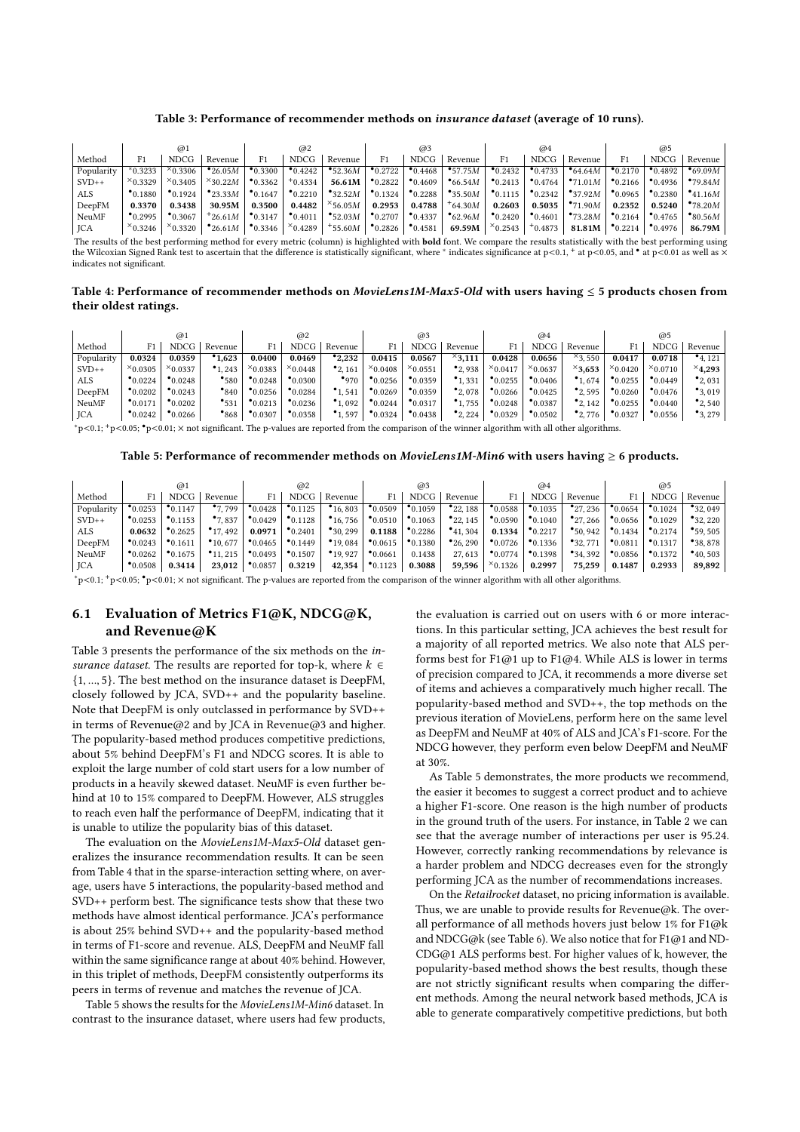#### Table 3: Performance of recommender methods on insurance dataset (average of 10 runs).

<span id="page-7-0"></span>

|              | @1                  |                     |                        | @2                  |                     |                     | @3                  |                     |                    | @4                  |                     |                     | @5                  |                     |                    |
|--------------|---------------------|---------------------|------------------------|---------------------|---------------------|---------------------|---------------------|---------------------|--------------------|---------------------|---------------------|---------------------|---------------------|---------------------|--------------------|
| Method       |                     | <b>NDCG</b>         | Revenue                |                     | <b>NDCG</b>         | Revenue             | F1                  | <b>NDCG</b>         | Revenue            | F1                  | <b>NDCG</b>         | Revenue             |                     | <b>NDCG</b>         | Revenue            |
| Popularity   | 0.3233              | $^{\times}0.3306$ . | $^{\bullet}$ 26.05M    | $^{\bullet}$ 0.3300 | $^{\bullet}$ 0.4242 | •52.36M             | $^{\bullet}$ 0.2722 | $^{\bullet}0.4468$  | • 57.75M           | $^{\bullet}$ 0.2432 | $^{\bullet}$ 0.4733 | $\bullet$ 64.64 $M$ | $^{\bullet}$ 0.2170 | $^{\bullet}$ 0.4892 | $^{\bullet}69.09M$ |
| $SVD++$      | $x_{0.3329}$        | $x_{0.3405}$        | $\times$ 30.22M        | $^{\bullet}0.3362$  | $+0.4334$           | 56.61M              | $^{\bullet}0.2822$  | $^{\bullet}0.4609$  | •66.54M            | $^{\bullet}0.2413$  | $^{\bullet}0.4764$  | $^{\bullet}71.01M$  | $^{\bullet}0.2166$  | $^{\bullet}$ 0.4936 | •79.84M            |
| ALS          | $^{\bullet}$ 0.1880 | $^{\bullet}$ 0.1924 | $^{\bullet}$ 23.33M    | $^{\bullet}$ 0.1647 | $^{\bullet}$ 0.2210 | $^{\bullet}32.52M$  | $^{\bullet}$ 0.1324 | $^{\bullet}$ 0.2288 | $^{\bullet}35.50M$ | $^{\bullet}$ 0.1115 | $^{\bullet}$ 0.2342 | $^{\bullet}37.92M$  | $^{\bullet}0.0965$  | $^{\bullet}$ 0.2380 | •41.16M            |
| DeepFM       | 0.3370              | 0.3438              | 30.95M                 | 0.3500              | 0.4482              | $\times$ 56.05M     | 0.2953              | 0.4788              | $+64.30M$          | 0.2603              | 0.5035              | •71.90M             | 0.2352              | 0.5240              | •78.20M            |
| <b>NeuMF</b> | $^{\bullet}$ 0.2995 | $^{\bullet}$ 0.3067 | $+26.61M$              | $^{\bullet}$ 0.3147 | $^{\bullet}$ 0.4011 | $^{\bullet}$ 52.03M | $^{\bullet}$ 0.2707 | $^{\bullet}$ 0.4337 | $\bullet$ 62.96M   | $^{\bullet}$ 0.2420 | $^{\bullet}0.4601$  | $^{\bullet}73.28M$  | $^{\bullet}$ 0.2164 | $^{\bullet}$ 0.4765 | $\bullet$ 80.56M   |
| JCA          | $x_{0.3246}$        | $\times$ 0.3320     | $^{\bullet}$ 26.61 $M$ | $^{\bullet}$ 0.3346 | $x_{0.4289}$        | $+55.60M$           | $^{\bullet}0.2826$  | $^{\bullet}0.4581$  | 69.59M             | $x_{0.2543}$        | $+0.4873$           | 81.81M              | $^{\bullet}0.2214$  | $^{\bullet}$ 0.4976 | 86.79M             |

The results of the best performing method for every metric (column) is highlighted with **bold** font. We compare the results statistically with the best performing using the Wilcoxian Signed Rank test to ascertain that the difference is statistically significant, where \* indicates significance at p<0.1, + at p<0.05, and \* at p<0.01 as well as × indicates not signifcant.

<span id="page-7-1"></span>Table 4: Performance of recommender methods on MovieLens1M-Max5-Old with users having  $\leq$  5 products chosen from their oldest ratings.

|            |                     | @1                  |                     |                     | @2                 |                     |                     | @3                  |                     |                    | @4                  |                     |                    | @5                 |                     |
|------------|---------------------|---------------------|---------------------|---------------------|--------------------|---------------------|---------------------|---------------------|---------------------|--------------------|---------------------|---------------------|--------------------|--------------------|---------------------|
| Method     |                     | <b>NDCG</b>         | Revenue             |                     | <b>NDCG</b>        | Revenue             |                     | <b>NDCG</b>         | Revenue             |                    | <b>NDCG</b>         | Revenue             | F1                 | <b>NDCG</b>        | Revenue             |
| Popularity | 0.0324              | 0.0359              | 1.623               | 0.0400              | 0.0469             | $^{\bullet}2.232$   | 0.0415              | 0.0567              | $^{\times}$ 3.111   | 0.0428             | 0.0656              | $^{\times}3.550$    | 0.0417             | 0.0718             | $^{\bullet}$ 4, 121 |
| $SVD++$    | $^{\times}$ 0.0305  | $x_{0.0337}$        | $^{\bullet}$ 1, 243 | $^{\times}0.0383$   | $x_{0.0448}$       | $^{\bullet}$ 2, 161 | $x_{0.0408}$        | $x_{0.0551}$        | $^{\bullet}$ 2, 938 | $x_{0.0417}$       | $x_{0.0637}$        | $^{\times}3,653$    | $x_{0.0420}$       | $x_{0.0710}$       | $^{\times}$ 4.293   |
| ALS        | $^{\bullet}0.0224$  | $^{\bullet}0.0248$  | •580                | $^{\bullet}0.0248$  | $^{\bullet}0.0300$ | •970                | $^{\bullet}0.0256$  | $^{\bullet}0.0359$  | $^{\bullet}1.331$   | $^{\bullet}0.0255$ | $^{\bullet}0.0406$  | $^{\bullet}1,674$   | $^{\bullet}0.0255$ | $^{\bullet}0.0449$ | $^{\bullet}2,031$   |
| DeepFM     | $^{\bullet}0.0202$  | $^{\bullet}$ 0.0243 | $^{\bullet}$ 840    | $^{\bullet}$ 0.0256 | $^{\bullet}0.0284$ | $^{\bullet}$ 1.541  | $^{\bullet}$ 0.0269 | $^{\bullet}$ 0.0359 | $^{\bullet}$ 2, 078 | $^{\bullet}0.0266$ | $^{\bullet}0.0425$  | $^{\bullet}$ 2, 595 | $^{\bullet}0.0260$ | $^{\bullet}0.0476$ | $^{\bullet}3,019$   |
| NeuMF      | $^{\bullet}$ 0.0171 | $^{\bullet}0.0202$  | $^{\bullet}$ 531    | $^{\bullet}0.0213$  | $^{\bullet}0.0236$ | $^{\bullet}1.092$   | $^{\bullet}0.0244$  | $^{\bullet}$ 0.0317 | 1.755               | $^{\bullet}0.0248$ | $^{\bullet}$ 0.0387 | $^{\bullet}$ 2, 142 | $^{\bullet}0.0255$ | $^{\bullet}0.0440$ | $^{\bullet}$ 2, 540 |
| JCA        | $^{\bullet}0.0242$  | $^{\bullet}0.0266$  | $^{\bullet}868$     | $^{\bullet}0.0307$  | $^{\bullet}0.0358$ | •1,597              | $^{\bullet}0.0324$  | $^{\bullet}0.0438$  | $^{\bullet}2,224$   | $^{\bullet}0.0329$ | $^{\bullet}0.0502$  | $^{\bullet}$ 2, 776 | $^{\bullet}0.0327$ | $^{\bullet}0.0556$ | $^{\bullet}3,279$   |
|            |                     |                     | $\sim$              | ___                 |                    |                     |                     | $\sim$              |                     | $\sim$ $\sim$      | .                   | .                   |                    |                    |                     |

<span id="page-7-2"></span><sup>∗</sup>p<0.1; <sup>+</sup>p<0.05; •p<0.01; × not signifcant. The p-values are reported from the comparison of the winner algorithm with all other algorithms.

#### Table 5: Performance of recommender methods on *MovieLens1M-Min6* with users having  $\geq 6$  products.

| @2<br>@1           |                     |                      | @3                  |                     |                      | @4                  |                     |                      | @5                 |                     |                      |                     |                     |                      |
|--------------------|---------------------|----------------------|---------------------|---------------------|----------------------|---------------------|---------------------|----------------------|--------------------|---------------------|----------------------|---------------------|---------------------|----------------------|
|                    | <b>NDCG</b>         | Revenue              |                     | <b>NDCG</b>         | Revenue              | F1                  | NDCG                | Revenue              | F1                 | NDCG                | Revenue              | F1                  | <b>NDCG</b>         | Revenue              |
| 0.0253             | $^{\bullet}$ 0.1147 | $^{\bullet}7.799$    | $^{\bullet}$ 0.0428 | $^{\bullet}$ 0.1125 | $^{\bullet}$ 16,803  | $^{\bullet}0.0509$  | $^{\bullet}$ 0.1059 | $^{\bullet}$ 22, 188 | $^{\bullet}0.0588$ | $^{\bullet}$ 0.1035 | $^{\bullet}$ 27, 236 | $^{\bullet}$ 0.0654 | $^{\bullet}$ 0.1024 | $^{\bullet}32.049$   |
| $^{\bullet}0.0253$ | $^{\bullet}$ 0.1153 | $^{\bullet}7.837$    | $^{\bullet}0.0429$  | $^{\bullet}$ 0.1128 | $^{\bullet}$ 16, 756 | $^{\bullet}0.0510$  | $^{\bullet}$ 0.1063 | $^{\bullet}$ 22, 145 | $^{\bullet}0.0590$ | $^{\bullet}$ 0.1040 | $^{\bullet}$ 27, 266 | $^{\bullet}$ 0.0656 | $^{\bullet}$ 0.1029 | $^{\bullet}32,220$   |
| 0.0632             | $^{\bullet}$ 0.2625 | $^{\bullet}$ 17, 492 | 0.0971              | $^{\bullet}$ 0.2401 | $^{\bullet}30.299$   | 0.1188              | $^{\bullet}$ 0.2286 | $^{\bullet}$ 41, 304 | 0.1334             | $^{\bullet}$ 0.2217 | $^{\bullet}50.942$   | $^{\bullet}$ 0.1434 | $^{\bullet}$ 0.2174 | $^{\bullet}59.505$   |
| $^{\bullet}0.0243$ | $^{\bullet}$ 0.1611 | $^{\bullet}10.677$   | $^{\bullet}0.0465$  | $^{\bullet}$ 0.1449 | $^{\bullet}$ 19,084  | $^{\bullet}0.0615$  | $^{\bullet}0.1380$  | $^{\bullet}$ 26, 290 | $^{\bullet}0.0726$ | $^{\bullet}$ 0.1336 | •32.771              | $^{\bullet}0.0811$  | $^{\bullet}$ 0.1317 | $^{\bullet}38.878$   |
| $^{\bullet}0.0262$ | $^{\bullet}$ 0.1675 | $^{\bullet}$ 11, 215 | $^{\bullet}0.0493$  | $^{\bullet}$ 0.1507 | $^{\bullet}$ 19, 927 | $^{\bullet}0.0661$  | 0.1438              | 27, 613              | $^{\bullet}0.0774$ | $^{\bullet}$ 0.1398 | $^{\bullet}34,392$   | $^{\bullet}$ 0.0856 | $^{\bullet}$ 0.1372 | $^{\bullet}$ 40, 503 |
| $^{\bullet}0.0508$ | 0.3414              | 23,012               | $^{\bullet}0.0857$  | 0.3219              | 42,354               | $^{\bullet}$ 0.1123 | 0.3088              | 59,596               | $x_{0.1326}$       | 0.2997              | 75.259               | 0.1487              | 0.2933              | 89,892               |
|                    |                     |                      |                     |                     |                      |                     |                     |                      |                    |                     |                      |                     |                     |                      |

<sup>∗</sup>p<0.1; <sup>+</sup>p<0.05; •p<0.01; × not signifcant. The p-values are reported from the comparison of the winner algorithm with all other algorithms.

# 6.1 Evaluation of Metrics F1@K, NDCG@K, and Revenue@K

Table [3](#page-7-0) presents the performance of the six methods on the insurance dataset. The results are reported for top-k, where  $k \in$ {1, ..., 5}. The best method on the insurance dataset is DeepFM, closely followed by JCA, SVD++ and the popularity baseline. Note that DeepFM is only outclassed in performance by SVD++ in terms of Revenue@2 and by JCA in Revenue@3 and higher. The popularity-based method produces competitive predictions, about 5% behind DeepFM's F1 and NDCG scores. It is able to exploit the large number of cold start users for a low number of products in a heavily skewed dataset. NeuMF is even further behind at 10 to 15% compared to DeepFM. However, ALS struggles to reach even half the performance of DeepFM, indicating that it is unable to utilize the popularity bias of this dataset.

The evaluation on the MovieLens1M-Max5-Old dataset generalizes the insurance recommendation results. It can be seen from Table [4](#page-7-1) that in the sparse-interaction setting where, on average, users have 5 interactions, the popularity-based method and SVD++ perform best. The signifcance tests show that these two methods have almost identical performance. JCA's performance is about 25% behind SVD++ and the popularity-based method in terms of F1-score and revenue. ALS, DeepFM and NeuMF fall within the same signifcance range at about 40% behind. However, in this triplet of methods, DeepFM consistently outperforms its peers in terms of revenue and matches the revenue of JCA.

Table [5](#page-7-2) shows the results for the MovieLens1M-Min6 dataset. In contrast to the insurance dataset, where users had few products,

the evaluation is carried out on users with 6 or more interactions. In this particular setting, JCA achieves the best result for a majority of all reported metrics. We also note that ALS performs best for  $F1@1$  up to  $F1@4$ . While ALS is lower in terms of precision compared to JCA, it recommends a more diverse set of items and achieves a comparatively much higher recall. The popularity-based method and SVD++, the top methods on the previous iteration of MovieLens, perform here on the same level as DeepFM and NeuMF at 40% of ALS and JCA's F1-score. For the NDCG however, they perform even below DeepFM and NeuMF at 30%.

As Table [5](#page-7-2) demonstrates, the more products we recommend, the easier it becomes to suggest a correct product and to achieve a higher F1-score. One reason is the high number of products in the ground truth of the users. For instance, in Table [2](#page-5-1) we can see that the average number of interactions per user is 95.24. However, correctly ranking recommendations by relevance is a harder problem and NDCG decreases even for the strongly performing JCA as the number of recommendations increases.

On the Retailrocket dataset, no pricing information is available. Thus, we are unable to provide results for Revenue@k. The overall performance of all methods hovers just below 1% for F1@k and NDCG@k (see Table [6\)](#page-8-0). We also notice that for F1@1 and ND-CDG@1 ALS performs best. For higher values of k, however, the popularity-based method shows the best results, though these are not strictly signifcant results when comparing the diferent methods. Among the neural network based methods, JCA is able to generate comparatively competitive predictions, but both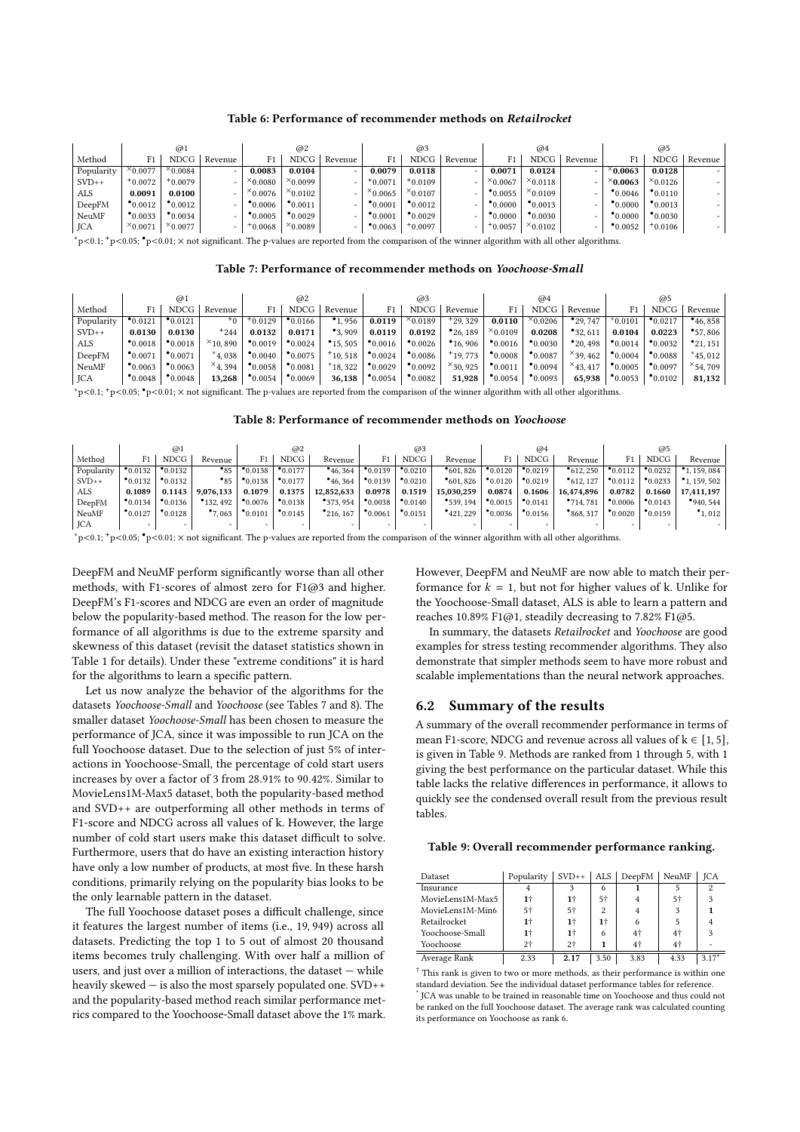#### Table 6: Performance of recommender methods on Retailrocket

<span id="page-8-0"></span>

|            | @1                  |                       |         | @2                 |                     |                          | @3                  |                    |         | @4                 |                     |         | @5                 |                     |         |
|------------|---------------------|-----------------------|---------|--------------------|---------------------|--------------------------|---------------------|--------------------|---------|--------------------|---------------------|---------|--------------------|---------------------|---------|
| Method     |                     | <b>NDCG</b>           | Revenue | F1                 | <b>NDCG</b>         | Revenue                  | F1                  | NDCG               | Revenue | F1                 | NDCG                | Revenue | F1                 | <b>NDCG</b>         | Revenue |
| Popularity | $\times$ 0.0077     | $\times$ 0.0084       | -       | 0.0083             | 0.0104              | ۰                        | 0.0079              | 0.0118             |         | 0.0071             | 0.0124              |         | $\times$ 0.0063    | 0.0128              |         |
| $SVD++$    | $+0.0072$           | $^{\mathrm{+}}0.0079$ | -       | $^{\times}0.0080$  | $x_{0.0099}$        | $\overline{\phantom{0}}$ | $+0.0071$           | "0.0109"           |         | $x_{0.0067}$       | $x_{0.0118}$        |         | $^{\times}$ 0.0063 | $x_{0.0126}$        |         |
| ALS        | 0.0091              | 0.0100                | -       | $^{\times}$ 0.0076 | $x_{0.0102}$        | -                        | $x_{0.0065}$        | $x_{0.0107}$       |         | $^{\bullet}0.0055$ | $x_{0.0109}$        |         | $^{\bullet}0.0046$ | $^{\bullet}$ 0.0110 |         |
| DeepFM     | $^{\bullet}$ 0.0012 | $^{\bullet}0.0012$    | -       | $^{\bullet}0.0006$ | $^{\bullet}$ 0.0011 | ۰                        | $^{\bullet}$ 0.0001 | $^{\bullet}0.0012$ |         | $^{\bullet}0.0000$ | $^{\bullet}$ 0.0013 |         | $^{\bullet}0.0000$ | $^{\bullet}$ 0.0013 |         |
| NeuMF      | $^{\bullet}$ 0.0033 | $^{\bullet}0.0034$    | -       | $^{\bullet}0.0005$ | $^{\bullet}0.0029$  | $\overline{\phantom{0}}$ | $^{\bullet}0.0001$  | $^{\bullet}0.0029$ |         | $^{\bullet}0.0000$ | $^{\bullet}0.0030$  |         | $^{\bullet}0.0000$ | $^{\bullet}0.0030$  |         |
| JCA        | $^{\times}0.0071$   | $x_{0.0077}$          |         | $*0.0068$          | $x_{0.0089}$        |                          | $^{\bullet}0.0063$  | 0.0097             |         | $+0.0057$          | $x_{0.0102}$        |         | $^{\bullet}0.0052$ | $+0.0106$           |         |

<span id="page-8-1"></span><sup>∗</sup>p<0.1; <sup>+</sup>p<0.05; •p<0.01; × not signifcant. The p-values are reported from the comparison of the winner algorithm with all other algorithms.

|                                                                                                                                                                     | @1                  |                    |                  |                    | @2                  |                      |                     | @3                 |                      | @4                  |                    |                      | @5                 |                     |                      |
|---------------------------------------------------------------------------------------------------------------------------------------------------------------------|---------------------|--------------------|------------------|--------------------|---------------------|----------------------|---------------------|--------------------|----------------------|---------------------|--------------------|----------------------|--------------------|---------------------|----------------------|
| Method                                                                                                                                                              |                     | <b>NDCG</b>        | Revenue          |                    | <b>NDCG</b>         | Revenue              | F1                  | <b>NDCG</b>        | Revenue              | F1                  | <b>NDCG</b>        | Revenue              | F1                 | <b>NDCG</b>         | Revenue              |
| Popularity                                                                                                                                                          | $^{\bullet}0.0121$  | $^{\bullet}0.0121$ | $+0+$            | $+0.0129$          | $^{\bullet}$ 0.0166 | .956                 | 0.0119              | $x_{0.0189}$       | $+29.329$            | 0.0110              | $x_{0.0206}$       | $^{\bullet}$ 29, 747 | $*0.0101$          | $^{\bullet}$ 0.0217 | $^{\bullet}$ 46, 858 |
| $SVD++$                                                                                                                                                             | 0.0130              | 0.0130             | $+244$           | 0.0132             | 0.0171              | $^{\bullet}3.909$    | 0.0119              | 0.0192             | $^{\bullet}$ 26, 189 | $x_{0.0109}$        | 0.0208             | $^{\bullet}32,611$   | 0.0104             | 0.0223              | $^{\bullet}57.806$   |
| ALS                                                                                                                                                                 | $^{\bullet}$ 0.0018 | $^{\bullet}0.0018$ | $\times$ 10, 890 | $^{\bullet}0.0019$ | $^{\bullet}0.0024$  | $^{\bullet}$ 15, 505 | $^{\bullet}$ 0.0016 | $^{\bullet}0.0026$ | $^{\bullet}$ 16, 906 | $^{\bullet}$ 0.0016 | $^{\bullet}0.0030$ | $^{\bullet}$ 20, 498 | $^{\bullet}0.0014$ | $^{\bullet}0.0032$  | $^{\bullet}$ 21, 151 |
| DeepFM                                                                                                                                                              | $^{\bullet}0.0071$  | $^{\bullet}0.0071$ | $*4.038$         | $^{\bullet}0.0040$ | $^{\bullet}0.0075$  | $+10.518$            | $^{\bullet}0.0024$  | $^{\bullet}0.0086$ | $+19.773$            | $^{\bullet}0.0008$  | $^{\bullet}0.0087$ | $\times$ 39, 462     | $^{\bullet}0.0004$ | $^{\bullet}0.0088$  | $*45.012$            |
| NeuMF                                                                                                                                                               | $^{\bullet}0.0063$  | $^{\bullet}0.0063$ | $\times$ 4.394   | $^{\bullet}0.0058$ | $^{\bullet}0.0081$  | $*18.322$            | $^{\bullet}0.0029$  | $^{\bullet}0.0092$ | $^{\times}$ 30, 925  | $^{\bullet}0.0011$  | $^{\bullet}0.0094$ | $\times$ 43, 417     | $^{\bullet}0.0005$ | $^{\bullet}0.0097$  | $^{\times}$ 54, 709  |
| <b>JCA</b>                                                                                                                                                          | $^{\bullet}0.0048$  | $^{\bullet}0.0048$ | 13,268           | $^{\bullet}0.0054$ | $^{\bullet}0.0069$  | 36,138               | $^{\bullet}0.0054$  | $^{\bullet}0.0082$ | 51,928               | $^{\bullet}0.0054$  | $^{\bullet}0.0093$ | 65,938               | $^{\bullet}0.0053$ | $^{\bullet}0.0102$  | 81,132               |
| *p<0.1; $\tau$ p<0.05; $\bullet$ p<0.01; $\times$ not significant. The p-values are reported from the comparison of the winner algorithm with all other algorithms. |                     |                    |                  |                    |                     |                      |                     |                    |                      |                     |                    |                      |                    |                     |                      |

Table 8: Performance of recommender methods on Yoochoose

<span id="page-8-2"></span>

|            | @1                 |                    |                          |                    | @2                  |                       |                          | @3                       |                          |                     | @4                  |                     |                    | @5                 |                          |  |
|------------|--------------------|--------------------|--------------------------|--------------------|---------------------|-----------------------|--------------------------|--------------------------|--------------------------|---------------------|---------------------|---------------------|--------------------|--------------------|--------------------------|--|
| Method     | F1                 | <b>NDCG</b>        | Revenue                  |                    | <b>NDCG</b>         | Revenue               | F1.                      | <b>NDCG</b>              | Revenue                  | F1                  | <b>NDCG</b>         | Revenue             |                    | <b>NDCG</b>        | Revenue                  |  |
| Popularity | $^{\bullet}0.0132$ | $^{\bullet}0.0132$ | $^{\bullet}85$           | $^{\bullet}0.0138$ | $^{\bullet}$ 0.0177 | $^{\bullet}$ 46, 364  | $^{\bullet}$ 0.0139      | $^{\bullet}$ 0.0210      | $^{\bullet}601.826$      | 0.0120              | $^{\bullet}$ 0.0219 | $^{\bullet}612.250$ | $^{\bullet}0.0112$ | $^{\bullet}0.0232$ | 1.159.084                |  |
| $SVD++$    | $^{\bullet}0.0132$ | $^{\bullet}0.0132$ | $^{\bullet}85$           | $^{\bullet}0.0138$ | $^{\bullet}0.0177$  | $^{\bullet}46,364$    | $^{\bullet}0.0139$       | $^{\bullet}0.0210$       | $^{\bullet}601.826$      | $^{\bullet}0.0120$  | $^{\bullet}0.0219$  | $^{\bullet}612.127$ | $^{\bullet}0.0112$ | $^{\bullet}0.0233$ | $^{\bullet}$ 1, 159, 502 |  |
| <b>ALS</b> | 0.1089             | 0.1143             | 9.076.133                | 0.1079             | 0.1375              | 12.852.633            | 0.0978                   | 0.1519                   | 15.030.259               | 0.0874              | 0.1606              | 16.474.896          | 0.0782             | 0.1660             | 17.411.197               |  |
| DeepFM     | $^{\bullet}0.0134$ | $^{\bullet}0.0136$ | $^{\bullet}$ 132, 492    | $^{\bullet}0.0076$ | $^{\bullet}0.0138$  | $^{\bullet}373.954$   | $^{\bullet}0.0038$       | $^{\bullet}0.0140$       | $^{\bullet}$ 539, 194    | $^{\bullet}0.0015$  | $^{\bullet}0.0141$  | •714.781            | $^{\bullet}0.0006$ | $^{\bullet}0.0143$ | $^{\bullet}940.544$      |  |
| NeuMF      | $^{\bullet}0.0127$ | $^{\bullet}0.0128$ | $^{\bullet}7,063$        | $^{\bullet}0.0101$ | $^{\bullet}0.0145$  | $^{\bullet}$ 216, 167 | $^{\bullet}0.0061$       | $^{\bullet}0.0151$       | $^{\bullet}421,229$      | $^{\bullet}$ 0.0036 | $^{\bullet}0.0156$  | $^{\bullet}868.317$ | $^{\bullet}0.0020$ | $^{\bullet}0.0159$ | $^{\bullet}1,012$        |  |
| <b>JCA</b> |                    |                    | $\overline{\phantom{a}}$ | -                  | -                   | -                     | $\overline{\phantom{0}}$ | $\overline{\phantom{0}}$ | $\overline{\phantom{0}}$ | -                   | -                   |                     | -                  | $-$                |                          |  |

<sup>∗</sup>p<0.1; <sup>+</sup>p<0.05; •p<0.01; × not signifcant. The p-values are reported from the comparison of the winner algorithm with all other algorithms.

DeepFM and NeuMF perform signifcantly worse than all other methods, with F1-scores of almost zero for F1@3 and higher. DeepFM's F1-scores and NDCG are even an order of magnitude below the popularity-based method. The reason for the low performance of all algorithms is due to the extreme sparsity and skewness of this dataset (revisit the dataset statistics shown in Table [1](#page-5-0) for details). Under these "extreme conditions" it is hard for the algorithms to learn a specifc pattern.

Let us now analyze the behavior of the algorithms for the datasets Yoochoose-Small and Yoochoose (see Tables [7](#page-8-1) and [8\)](#page-8-2). The smaller dataset Yoochoose-Small has been chosen to measure the performance of JCA, since it was impossible to run JCA on the full Yoochoose dataset. Due to the selection of just 5% of interactions in Yoochoose-Small, the percentage of cold start users increases by over a factor of 3 from 28.91% to 90.42%. Similar to MovieLens1M-Max5 dataset, both the popularity-based method and SVD++ are outperforming all other methods in terms of F1-score and NDCG across all values of k. However, the large number of cold start users make this dataset difficult to solve. Furthermore, users that do have an existing interaction history have only a low number of products, at most five. In these harsh conditions, primarily relying on the popularity bias looks to be the only learnable pattern in the dataset.

The full Yoochoose dataset poses a difficult challenge, since it features the largest number of items (i.e., 19, 949) across all datasets. Predicting the top 1 to 5 out of almost 20 thousand items becomes truly challenging. With over half a million of users, and just over a million of interactions, the dataset — while heavily skewed — is also the most sparsely populated one. SVD++ and the popularity-based method reach similar performance metrics compared to the Yoochoose-Small dataset above the 1% mark.

However, DeepFM and NeuMF are now able to match their performance for  $k = 1$ , but not for higher values of k. Unlike for the Yoochoose-Small dataset, ALS is able to learn a pattern and reaches 10.89% F1@1, steadily decreasing to 7.82% F1@5.

In summary, the datasets Retailrocket and Yoochoose are good examples for stress testing recommender algorithms. They also demonstrate that simpler methods seem to have more robust and scalable implementations than the neural network approaches.

## 6.2 Summary of the results

A summary of the overall recommender performance in terms of mean F1-score, NDCG and revenue across all values of  $k \in [1, 5]$ , is given in Table [9.](#page-8-3) Methods are ranked from 1 through 5, with 1 giving the best performance on the particular dataset. While this table lacks the relative diferences in performance, it allows to quickly see the condensed overall result from the previous result tables.

#### <span id="page-8-3"></span>Table 9: Overall recommender performance ranking.

| Dataset          | Popularity | $SVD++$ |      | ALS $\vert$ DeepFM $\vert$ | <b>NeuMF</b> | <b>ICA</b> |
|------------------|------------|---------|------|----------------------------|--------------|------------|
| Insurance        |            |         | 6    |                            |              | 2          |
| MovieLens1M-Max5 | 1†         | 1†      | 5†   |                            | 5†           |            |
| MovieLens1M-Min6 | 5†         | 5†      | 2    |                            |              |            |
| Retailrocket     |            | 1†      | 1†   |                            |              |            |
| Yoochoose-Small  |            | 1†      | 6    | 4 <sup>†</sup>             | $4^{+}$      | ٩          |
| Yoochoose        | 2†         | $2+$    |      | 4†                         | $4+$         |            |
| Average Rank     | 2.33       | 2.17    | 3.50 | 3.83                       | 4.33         | $3.17*$    |

† This rank is given to two or more methods, as their performance is within one standard deviation. See the individual dataset performance tables for reference.

\* JCA was unable to be trained in reasonable time on Yoochoose and thus could not be ranked on the full Yoochoose dataset. The average rank was calculated counting its performance on Yoochoose as rank 6.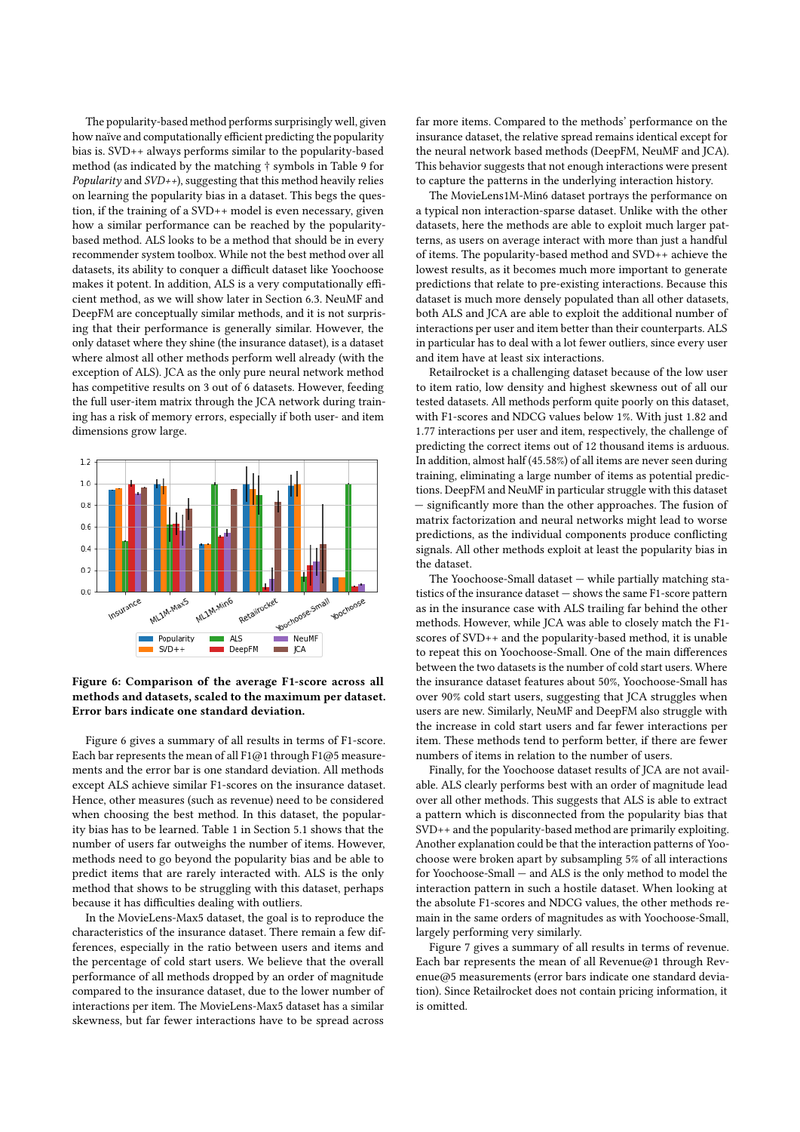The popularity-based method performs surprisingly well, given how naïve and computationally efficient predicting the popularity bias is. SVD++ always performs similar to the popularity-based method (as indicated by the matching † symbols in Table [9](#page-8-3) for *Popularity* and  $SVD++$ ), suggesting that this method heavily relies on learning the popularity bias in a dataset. This begs the question, if the training of a SVD++ model is even necessary, given how a similar performance can be reached by the popularitybased method. ALS looks to be a method that should be in every recommender system toolbox. While not the best method over all datasets, its ability to conquer a difficult dataset like Yoochoose makes it potent. In addition, ALS is a very computationally efficient method, as we will show later in Section [6.3.](#page-10-1) NeuMF and DeepFM are conceptually similar methods, and it is not surprising that their performance is generally similar. However, the only dataset where they shine (the insurance dataset), is a dataset where almost all other methods perform well already (with the exception of ALS). JCA as the only pure neural network method has competitive results on 3 out of 6 datasets. However, feeding the full user-item matrix through the JCA network during training has a risk of memory errors, especially if both user- and item dimensions grow large.

<span id="page-9-0"></span>

Figure 6: Comparison of the average F1-score across all methods and datasets, scaled to the maximum per dataset. Error bars indicate one standard deviation.

Figure [6](#page-9-0) gives a summary of all results in terms of F1-score. Each bar represents the mean of all F1@1 through F1@5 measurements and the error bar is one standard deviation. All methods except ALS achieve similar F1-scores on the insurance dataset. Hence, other measures (such as revenue) need to be considered when choosing the best method. In this dataset, the popularity bias has to be learned. Table [1](#page-5-0) in Section [5.1](#page-4-0) shows that the number of users far outweighs the number of items. However, methods need to go beyond the popularity bias and be able to predict items that are rarely interacted with. ALS is the only method that shows to be struggling with this dataset, perhaps because it has difficulties dealing with outliers.

In the MovieLens-Max5 dataset, the goal is to reproduce the characteristics of the insurance dataset. There remain a few differences, especially in the ratio between users and items and the percentage of cold start users. We believe that the overall performance of all methods dropped by an order of magnitude compared to the insurance dataset, due to the lower number of interactions per item. The MovieLens-Max5 dataset has a similar skewness, but far fewer interactions have to be spread across

far more items. Compared to the methods' performance on the insurance dataset, the relative spread remains identical except for the neural network based methods (DeepFM, NeuMF and JCA). This behavior suggests that not enough interactions were present to capture the patterns in the underlying interaction history.

The MovieLens1M-Min6 dataset portrays the performance on a typical non interaction-sparse dataset. Unlike with the other datasets, here the methods are able to exploit much larger patterns, as users on average interact with more than just a handful of items. The popularity-based method and SVD++ achieve the lowest results, as it becomes much more important to generate predictions that relate to pre-existing interactions. Because this dataset is much more densely populated than all other datasets, both ALS and JCA are able to exploit the additional number of interactions per user and item better than their counterparts. ALS in particular has to deal with a lot fewer outliers, since every user and item have at least six interactions.

Retailrocket is a challenging dataset because of the low user to item ratio, low density and highest skewness out of all our tested datasets. All methods perform quite poorly on this dataset, with F1-scores and NDCG values below 1%. With just 1.82 and 1.77 interactions per user and item, respectively, the challenge of predicting the correct items out of 12 thousand items is arduous. In addition, almost half (45.58%) of all items are never seen during training, eliminating a large number of items as potential predictions. DeepFM and NeuMF in particular struggle with this dataset — signifcantly more than the other approaches. The fusion of matrix factorization and neural networks might lead to worse predictions, as the individual components produce conficting signals. All other methods exploit at least the popularity bias in the dataset.

The Yoochoose-Small dataset — while partially matching statistics of the insurance dataset — shows the same F1-score pattern as in the insurance case with ALS trailing far behind the other methods. However, while JCA was able to closely match the F1 scores of SVD++ and the popularity-based method, it is unable to repeat this on Yoochoose-Small. One of the main diferences between the two datasets is the number of cold start users. Where the insurance dataset features about 50%, Yoochoose-Small has over 90% cold start users, suggesting that JCA struggles when users are new. Similarly, NeuMF and DeepFM also struggle with the increase in cold start users and far fewer interactions per item. These methods tend to perform better, if there are fewer numbers of items in relation to the number of users.

Finally, for the Yoochoose dataset results of JCA are not available. ALS clearly performs best with an order of magnitude lead over all other methods. This suggests that ALS is able to extract a pattern which is disconnected from the popularity bias that SVD++ and the popularity-based method are primarily exploiting. Another explanation could be that the interaction patterns of Yoochoose were broken apart by subsampling 5% of all interactions for Yoochoose-Small — and ALS is the only method to model the interaction pattern in such a hostile dataset. When looking at the absolute F1-scores and NDCG values, the other methods remain in the same orders of magnitudes as with Yoochoose-Small, largely performing very similarly.

Figure [7](#page-10-2) gives a summary of all results in terms of revenue. Each bar represents the mean of all Revenue@1 through Revenue@5 measurements (error bars indicate one standard deviation). Since Retailrocket does not contain pricing information, it is omitted.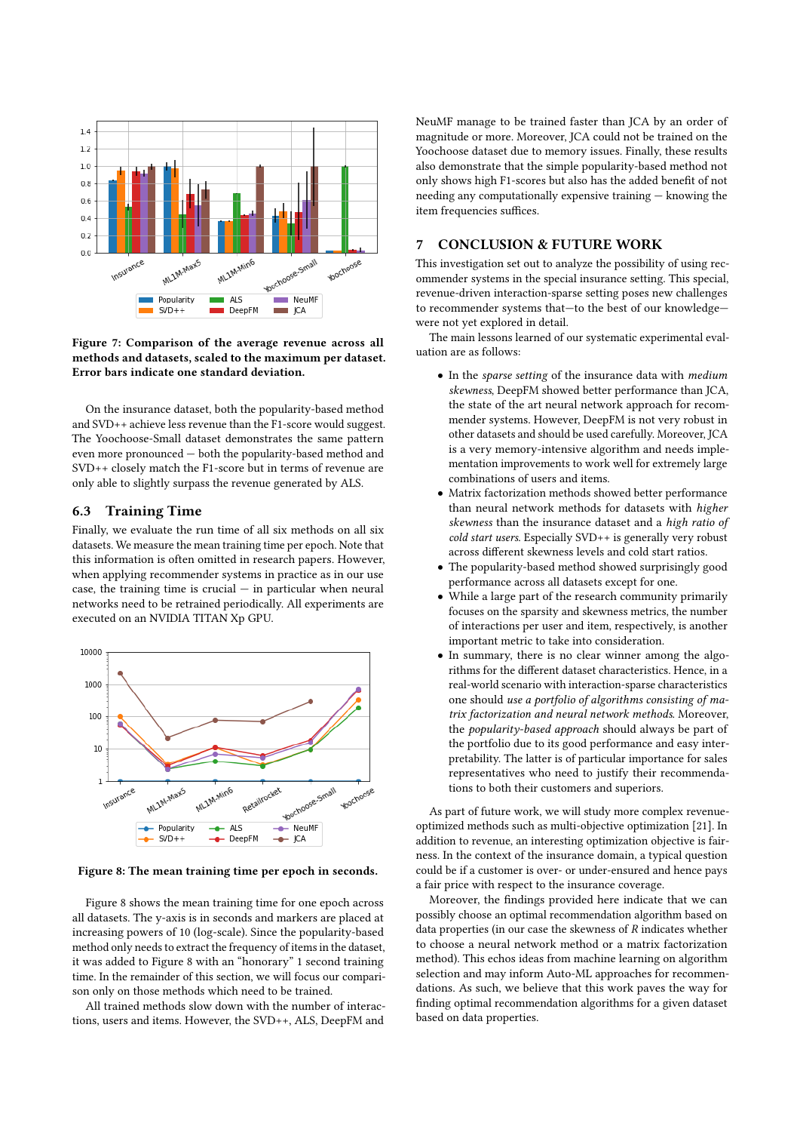<span id="page-10-2"></span>

Figure 7: Comparison of the average revenue across all methods and datasets, scaled to the maximum per dataset. Error bars indicate one standard deviation.

On the insurance dataset, both the popularity-based method and SVD++ achieve less revenue than the F1-score would suggest. The Yoochoose-Small dataset demonstrates the same pattern even more pronounced — both the popularity-based method and SVD++ closely match the F1-score but in terms of revenue are only able to slightly surpass the revenue generated by ALS.

## <span id="page-10-1"></span>6.3 Training Time

Finally, we evaluate the run time of all six methods on all six datasets. We measure the mean training time per epoch. Note that this information is often omitted in research papers. However, when applying recommender systems in practice as in our use case, the training time is crucial  $-$  in particular when neural networks need to be retrained periodically. All experiments are executed on an NVIDIA TITAN Xp GPU.

<span id="page-10-3"></span>

Figure 8: The mean training time per epoch in seconds.

Figure [8](#page-10-3) shows the mean training time for one epoch across all datasets. The y-axis is in seconds and markers are placed at increasing powers of 10 (log-scale). Since the popularity-based method only needs to extract the frequency of items in the dataset, it was added to Figure [8](#page-10-3) with an "honorary" 1 second training time. In the remainder of this section, we will focus our comparison only on those methods which need to be trained.

All trained methods slow down with the number of interactions, users and items. However, the SVD++, ALS, DeepFM and

NeuMF manage to be trained faster than JCA by an order of magnitude or more. Moreover, JCA could not be trained on the Yoochoose dataset due to memory issues. Finally, these results also demonstrate that the simple popularity-based method not only shows high F1-scores but also has the added beneft of not needing any computationally expensive training — knowing the item frequencies suffices.

# <span id="page-10-0"></span>7 CONCLUSION & FUTURE WORK

This investigation set out to analyze the possibility of using recommender systems in the special insurance setting. This special, revenue-driven interaction-sparse setting poses new challenges to recommender systems that—to the best of our knowledge were not yet explored in detail.

The main lessons learned of our systematic experimental evaluation are as follows:

- In the sparse setting of the insurance data with medium skewness, DeepFM showed better performance than JCA, the state of the art neural network approach for recommender systems. However, DeepFM is not very robust in other datasets and should be used carefully. Moreover, JCA is a very memory-intensive algorithm and needs implementation improvements to work well for extremely large combinations of users and items.
- Matrix factorization methods showed better performance than neural network methods for datasets with higher skewness than the insurance dataset and a high ratio of cold start users. Especially SVD++ is generally very robust across diferent skewness levels and cold start ratios.
- The popularity-based method showed surprisingly good performance across all datasets except for one.
- While a large part of the research community primarily focuses on the sparsity and skewness metrics, the number of interactions per user and item, respectively, is another important metric to take into consideration.
- In summary, there is no clear winner among the algorithms for the diferent dataset characteristics. Hence, in a real-world scenario with interaction-sparse characteristics one should use a portfolio of algorithms consisting of matrix factorization and neural network methods. Moreover, the popularity-based approach should always be part of the portfolio due to its good performance and easy interpretability. The latter is of particular importance for sales representatives who need to justify their recommendations to both their customers and superiors.

As part of future work, we will study more complex revenueoptimized methods such as multi-objective optimization [\[21\]](#page-11-39). In addition to revenue, an interesting optimization objective is fairness. In the context of the insurance domain, a typical question could be if a customer is over- or under-ensured and hence pays a fair price with respect to the insurance coverage.

Moreover, the fndings provided here indicate that we can possibly choose an optimal recommendation algorithm based on data properties (in our case the skewness of  $R$  indicates whether to choose a neural network method or a matrix factorization method). This echos ideas from machine learning on algorithm selection and may inform Auto-ML approaches for recommendations. As such, we believe that this work paves the way for fnding optimal recommendation algorithms for a given dataset based on data properties.